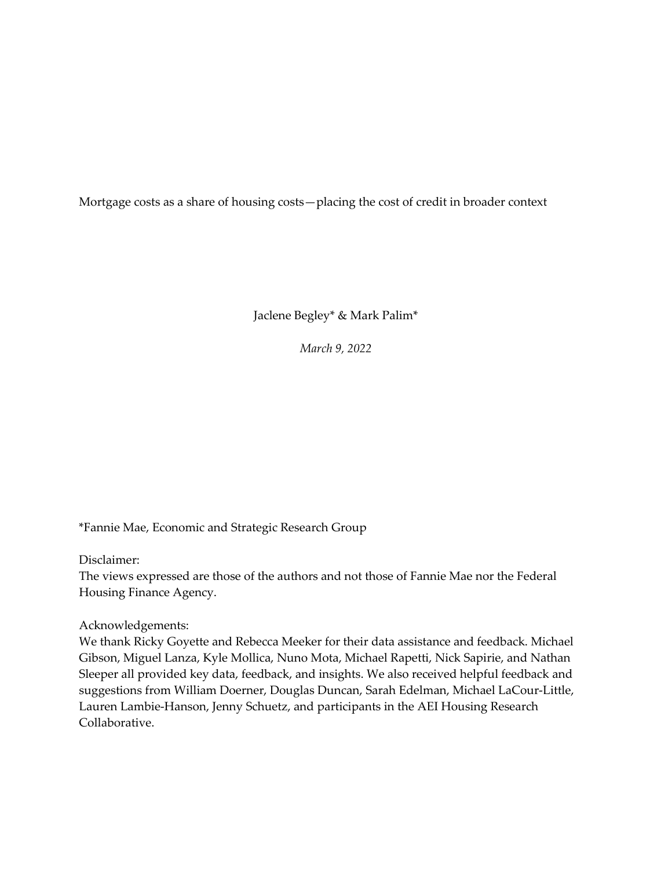Mortgage costs as a share of housing costs—placing the cost of credit in broader context

Jaclene Begley\* & Mark Palim\*

*March 9, 2022*

\*Fannie Mae, Economic and Strategic Research Group

Disclaimer:

The views expressed are those of the authors and not those of Fannie Mae nor the Federal Housing Finance Agency.

Acknowledgements:

We thank Ricky Goyette and Rebecca Meeker for their data assistance and feedback. Michael Gibson, Miguel Lanza, Kyle Mollica, Nuno Mota, Michael Rapetti, Nick Sapirie, and Nathan Sleeper all provided key data, feedback, and insights. We also received helpful feedback and suggestions from William Doerner, Douglas Duncan, Sarah Edelman, Michael LaCour-Little, Lauren Lambie-Hanson, Jenny Schuetz, and participants in the AEI Housing Research Collaborative.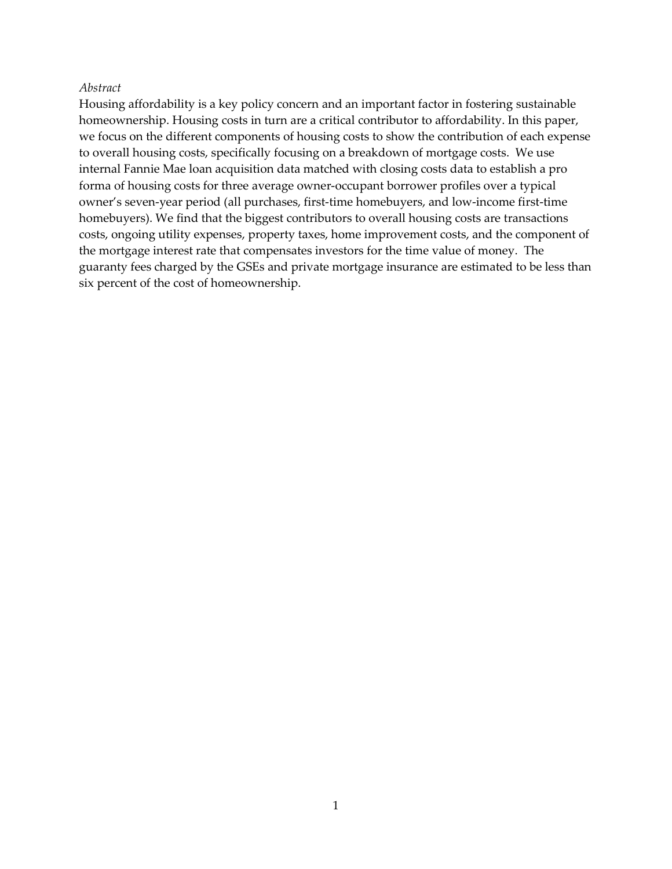#### *Abstract*

Housing affordability is a key policy concern and an important factor in fostering sustainable homeownership. Housing costs in turn are a critical contributor to affordability. In this paper, we focus on the different components of housing costs to show the contribution of each expense to overall housing costs, specifically focusing on a breakdown of mortgage costs. We use internal Fannie Mae loan acquisition data matched with closing costs data to establish a pro forma of housing costs for three average owner-occupant borrower profiles over a typical owner's seven-year period (all purchases, first-time homebuyers, and low-income first-time homebuyers). We find that the biggest contributors to overall housing costs are transactions costs, ongoing utility expenses, property taxes, home improvement costs, and the component of the mortgage interest rate that compensates investors for the time value of money. The guaranty fees charged by the GSEs and private mortgage insurance are estimated to be less than six percent of the cost of homeownership.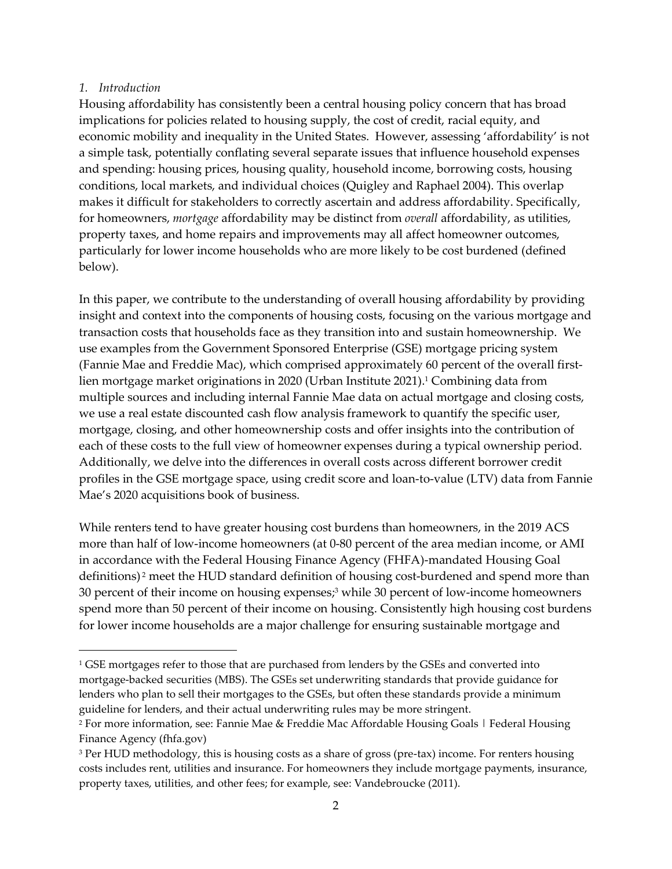## *1. Introduction*

Housing affordability has consistently been a central housing policy concern that has broad implications for policies related to housing supply, the cost of credit, racial equity, and economic mobility and inequality in the United States. However, assessing 'affordability' is not a simple task, potentially conflating several separate issues that influence household expenses and spending: housing prices, housing quality, household income, borrowing costs, housing conditions, local markets, and individual choices (Quigley and Raphael 2004). This overlap makes it difficult for stakeholders to correctly ascertain and address affordability. Specifically, for homeowners, *mortgage* affordability may be distinct from *overall* affordability, as utilities, property taxes, and home repairs and improvements may all affect homeowner outcomes, particularly for lower income households who are more likely to be cost burdened (defined below).

In this paper, we contribute to the understanding of overall housing affordability by providing insight and context into the components of housing costs, focusing on the various mortgage and transaction costs that households face as they transition into and sustain homeownership. We use examples from the Government Sponsored Enterprise (GSE) mortgage pricing system (Fannie Mae and Freddie Mac), which comprised approximately 60 percent of the overall firstlien mortgage market originations in 2020 (Urban Institute 2021). <sup>1</sup> Combining data from multiple sources and including internal Fannie Mae data on actual mortgage and closing costs, we use a real estate discounted cash flow analysis framework to quantify the specific user, mortgage, closing, and other homeownership costs and offer insights into the contribution of each of these costs to the full view of homeowner expenses during a typical ownership period. Additionally, we delve into the differences in overall costs across different borrower credit profiles in the GSE mortgage space, using credit score and loan-to-value (LTV) data from Fannie Mae's 2020 acquisitions book of business.

While renters tend to have greater housing cost burdens than homeowners, in the 2019 ACS more than half of low-income homeowners (at 0-80 percent of the area median income, or AMI in accordance with the Federal Housing Finance Agency (FHFA)-mandated Housing Goal definitions) <sup>2</sup> meet the HUD standard definition of housing cost-burdened and spend more than 30 percent of their income on housing expenses; <sup>3</sup> while 30 percent of low-income homeowners spend more than 50 percent of their income on housing. Consistently high housing cost burdens for lower income households are a major challenge for ensuring sustainable mortgage and

<sup>&</sup>lt;sup>1</sup> GSE mortgages refer to those that are purchased from lenders by the GSEs and converted into mortgage-backed securities (MBS). The GSEs set underwriting standards that provide guidance for lenders who plan to sell their mortgages to the GSEs, but often these standards provide a minimum guideline for lenders, and their actual underwriting rules may be more stringent.

<sup>2</sup> For more information, see: Fannie Mae & Freddie Mac Affordable Housing Goals | Federal Housing Finance Agency (fhfa.gov)

<sup>3</sup> Per HUD methodology, this is housing costs as a share of gross (pre-tax) income. For renters housing costs includes rent, utilities and insurance. For homeowners they include mortgage payments, insurance, property taxes, utilities, and other fees; for example, see: Vandebroucke (2011).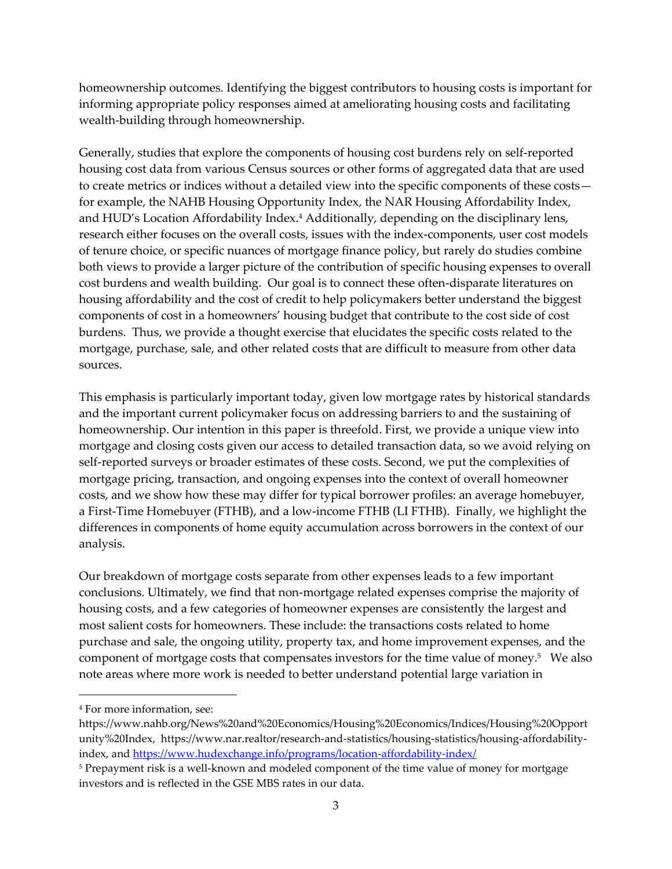homeownership outcomes. Identifying the biggest contributors to housing costs is important for informing appropriate policy responses aimed at ameliorating housing costs and facilitating wealth-building through homeownership.

Generally, studies that explore the components of housing cost burdens rely on self-reported housing cost data from various Census sources or other forms of aggregated data that are used to create metrics or indices without a detailed view into the specific components of these costs for example, the NAHB Housing Opportunity Index, the NAR Housing Affordability Index, and HUD's Location Affordability Index.<sup>4</sup> Additionally, depending on the disciplinary lens, research either focuses on the overall costs, issues with the index-components, user cost models of tenure choice, or specific nuances of mortgage finance policy, but rarely do studies combine both views to provide a larger picture of the contribution of specific housing expenses to overall cost burdens and wealth building. Our goal is to connect these often-disparate literatures on housing affordability and the cost of credit to help policymakers better understand the biggest components of cost in a homeowners' housing budget that contribute to the cost side of cost burdens. Thus, we provide a thought exercise that elucidates the specific costs related to the mortgage, purchase, sale, and other related costs that are difficult to measure from other data sources.

This emphasis is particularly important today, given low mortgage rates by historical standards and the important current policymaker focus on addressing barriers to and the sustaining of homeownership. Our intention in this paper is threefold. First, we provide a unique view into mortgage and closing costs given our access to detailed transaction data, so we avoid relying on self-reported surveys or broader estimates of these costs. Second, we put the complexities of mortgage pricing, transaction, and ongoing expenses into the context of overall homeowner costs, and we show how these may differ for typical borrower profiles: an average homebuyer, a First-Time Homebuyer (FTHB), and a low-income FTHB (LI FTHB). Finally, we highlight the differences in components of home equity accumulation across borrowers in the context of our analysis.

Our breakdown of mortgage costs separate from other expenses leads to a few important conclusions. Ultimately, we find that non-mortgage related expenses comprise the majority of housing costs, and a few categories of homeowner expenses are consistently the largest and most salient costs for homeowners. These include: the transactions costs related to home purchase and sale, the ongoing utility, property tax, and home improvement expenses, and the component of mortgage costs that compensates investors for the time value of money. <sup>5</sup> We also note areas where more work is needed to better understand potential large variation in

<sup>4</sup> For more information, see:

https://www.nahb.org/News%20and%20Economics/Housing%20Economics/Indices/Housing%20Opport unity%20Index, https://www.nar.realtor/research-and-statistics/housing-statistics/housing-affordabilityindex, and<https://www.hudexchange.info/programs/location-affordability-index/>

<sup>&</sup>lt;sup>5</sup> Prepayment risk is a well-known and modeled component of the time value of money for mortgage investors and is reflected in the GSE MBS rates in our data.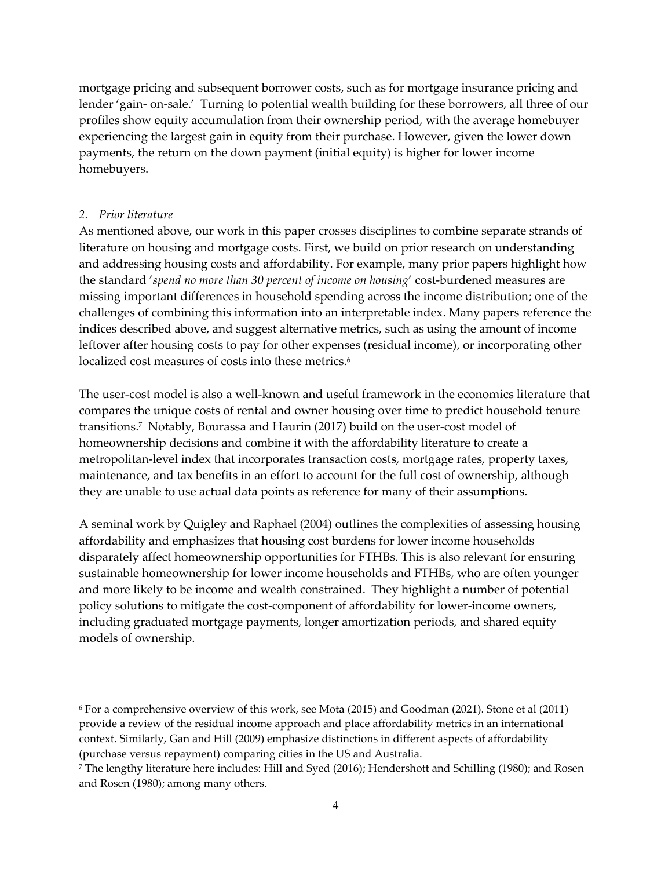mortgage pricing and subsequent borrower costs, such as for mortgage insurance pricing and lender 'gain- on-sale.' Turning to potential wealth building for these borrowers, all three of our profiles show equity accumulation from their ownership period, with the average homebuyer experiencing the largest gain in equity from their purchase. However, given the lower down payments, the return on the down payment (initial equity) is higher for lower income homebuyers.

### *2. Prior literature*

As mentioned above, our work in this paper crosses disciplines to combine separate strands of literature on housing and mortgage costs. First, we build on prior research on understanding and addressing housing costs and affordability. For example, many prior papers highlight how the standard '*spend no more than 30 percent of income on housing*' cost-burdened measures are missing important differences in household spending across the income distribution; one of the challenges of combining this information into an interpretable index. Many papers reference the indices described above, and suggest alternative metrics, such as using the amount of income leftover after housing costs to pay for other expenses (residual income), or incorporating other localized cost measures of costs into these metrics. 6

The user-cost model is also a well-known and useful framework in the economics literature that compares the unique costs of rental and owner housing over time to predict household tenure transitions.<sup>7</sup> Notably, Bourassa and Haurin (2017) build on the user-cost model of homeownership decisions and combine it with the affordability literature to create a metropolitan-level index that incorporates transaction costs, mortgage rates, property taxes, maintenance, and tax benefits in an effort to account for the full cost of ownership, although they are unable to use actual data points as reference for many of their assumptions.

A seminal work by Quigley and Raphael (2004) outlines the complexities of assessing housing affordability and emphasizes that housing cost burdens for lower income households disparately affect homeownership opportunities for FTHBs. This is also relevant for ensuring sustainable homeownership for lower income households and FTHBs, who are often younger and more likely to be income and wealth constrained. They highlight a number of potential policy solutions to mitigate the cost-component of affordability for lower-income owners, including graduated mortgage payments, longer amortization periods, and shared equity models of ownership.

<sup>6</sup> For a comprehensive overview of this work, see Mota (2015) and Goodman (2021). Stone et al (2011) provide a review of the residual income approach and place affordability metrics in an international context. Similarly, Gan and Hill (2009) emphasize distinctions in different aspects of affordability (purchase versus repayment) comparing cities in the US and Australia.

<sup>7</sup> The lengthy literature here includes: Hill and Syed (2016); Hendershott and Schilling (1980); and Rosen and Rosen (1980); among many others.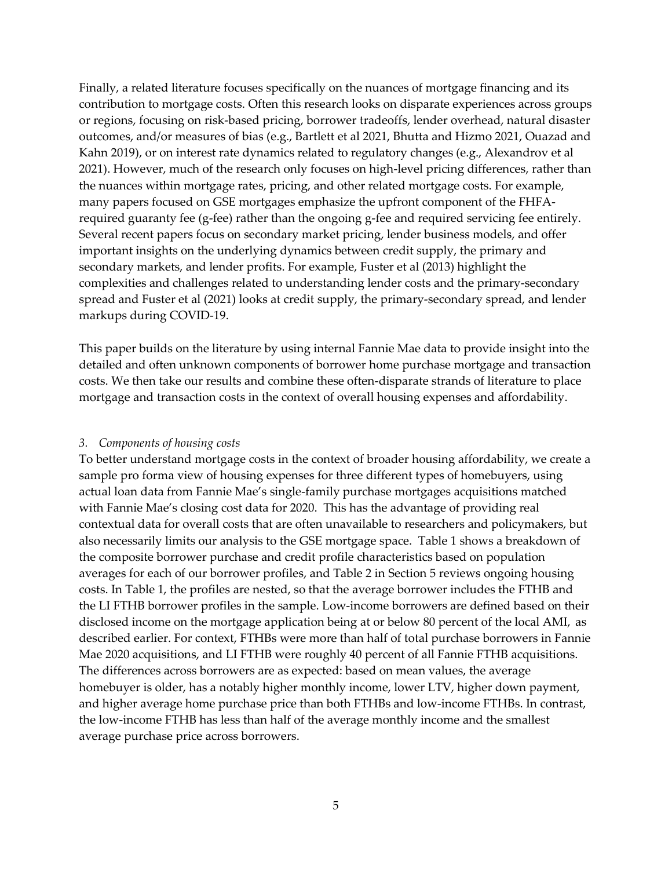Finally, a related literature focuses specifically on the nuances of mortgage financing and its contribution to mortgage costs. Often this research looks on disparate experiences across groups or regions, focusing on risk-based pricing, borrower tradeoffs, lender overhead, natural disaster outcomes, and/or measures of bias (e.g., Bartlett et al 2021, Bhutta and Hizmo 2021, Ouazad and Kahn 2019), or on interest rate dynamics related to regulatory changes (e.g., Alexandrov et al 2021). However, much of the research only focuses on high-level pricing differences, rather than the nuances within mortgage rates, pricing, and other related mortgage costs. For example, many papers focused on GSE mortgages emphasize the upfront component of the FHFArequired guaranty fee (g-fee) rather than the ongoing g-fee and required servicing fee entirely. Several recent papers focus on secondary market pricing, lender business models, and offer important insights on the underlying dynamics between credit supply, the primary and secondary markets, and lender profits. For example, Fuster et al (2013) highlight the complexities and challenges related to understanding lender costs and the primary-secondary spread and Fuster et al (2021) looks at credit supply, the primary-secondary spread, and lender markups during COVID-19.

This paper builds on the literature by using internal Fannie Mae data to provide insight into the detailed and often unknown components of borrower home purchase mortgage and transaction costs. We then take our results and combine these often-disparate strands of literature to place mortgage and transaction costs in the context of overall housing expenses and affordability.

#### *3. Components of housing costs*

To better understand mortgage costs in the context of broader housing affordability, we create a sample pro forma view of housing expenses for three different types of homebuyers, using actual loan data from Fannie Mae's single-family purchase mortgages acquisitions matched with Fannie Mae's closing cost data for 2020. This has the advantage of providing real contextual data for overall costs that are often unavailable to researchers and policymakers, but also necessarily limits our analysis to the GSE mortgage space. Table 1 shows a breakdown of the composite borrower purchase and credit profile characteristics based on population averages for each of our borrower profiles, and Table 2 in Section 5 reviews ongoing housing costs. In Table 1, the profiles are nested, so that the average borrower includes the FTHB and the LI FTHB borrower profiles in the sample. Low-income borrowers are defined based on their disclosed income on the mortgage application being at or below 80 percent of the local AMI, as described earlier. For context, FTHBs were more than half of total purchase borrowers in Fannie Mae 2020 acquisitions, and LI FTHB were roughly 40 percent of all Fannie FTHB acquisitions. The differences across borrowers are as expected: based on mean values, the average homebuyer is older, has a notably higher monthly income, lower LTV, higher down payment, and higher average home purchase price than both FTHBs and low-income FTHBs. In contrast, the low-income FTHB has less than half of the average monthly income and the smallest average purchase price across borrowers.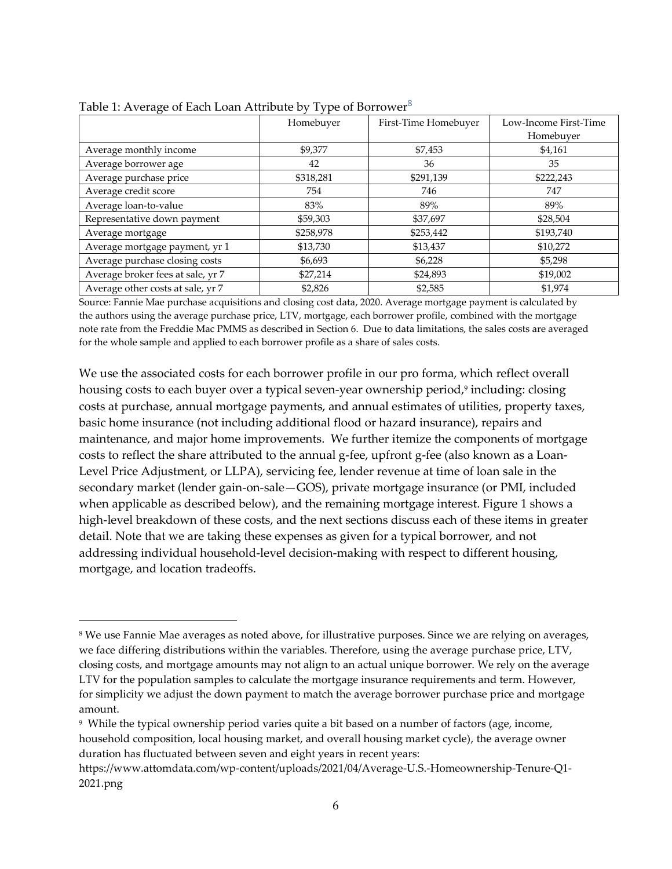|                                   | Homebuyer | First-Time Homebuyer | Low-Income First-Time |
|-----------------------------------|-----------|----------------------|-----------------------|
|                                   |           |                      | Homebuyer             |
| Average monthly income            | \$9,377   | \$7,453              | \$4,161               |
| Average borrower age              | 42        | 36                   | 35                    |
| Average purchase price            | \$318,281 | \$291,139            | \$222,243             |
| Average credit score              | 754       | 746                  | 747                   |
| Average loan-to-value             | 83%       | 89%                  | 89%                   |
| Representative down payment       | \$59,303  | \$37,697             | \$28,504              |
| Average mortgage                  | \$258,978 | \$253,442            | \$193,740             |
| Average mortgage payment, yr 1    | \$13,730  | \$13,437             | \$10,272              |
| Average purchase closing costs    | \$6,693   | \$6,228              | \$5,298               |
| Average broker fees at sale, yr 7 | \$27,214  | \$24,893             | \$19,002              |
| Average other costs at sale, yr 7 | \$2,826   | \$2,585              | \$1,974               |

Table 1: Average of Each Loan Attribute by Type of Borrower<sup>8</sup>

Source: Fannie Mae purchase acquisitions and closing cost data, 2020. Average mortgage payment is calculated by the authors using the average purchase price, LTV, mortgage, each borrower profile, combined with the mortgage note rate from the Freddie Mac PMMS as described in Section 6. Due to data limitations, the sales costs are averaged for the whole sample and applied to each borrower profile as a share of sales costs.

We use the associated costs for each borrower profile in our pro forma, which reflect overall housing costs to each buyer over a typical seven-year ownership period, 9 including: closing costs at purchase, annual mortgage payments, and annual estimates of utilities, property taxes, basic home insurance (not including additional flood or hazard insurance), repairs and maintenance, and major home improvements. We further itemize the components of mortgage costs to reflect the share attributed to the annual g-fee, upfront g-fee (also known as a Loan-Level Price Adjustment, or LLPA), servicing fee, lender revenue at time of loan sale in the secondary market (lender gain-on-sale—GOS), private mortgage insurance (or PMI, included when applicable as described below), and the remaining mortgage interest. Figure 1 shows a high-level breakdown of these costs, and the next sections discuss each of these items in greater detail. Note that we are taking these expenses as given for a typical borrower, and not addressing individual household-level decision-making with respect to different housing, mortgage, and location tradeoffs.

<sup>8</sup> We use Fannie Mae averages as noted above, for illustrative purposes. Since we are relying on averages, we face differing distributions within the variables. Therefore, using the average purchase price, LTV, closing costs, and mortgage amounts may not align to an actual unique borrower. We rely on the average LTV for the population samples to calculate the mortgage insurance requirements and term. However, for simplicity we adjust the down payment to match the average borrower purchase price and mortgage amount.

<sup>9</sup> While the typical ownership period varies quite a bit based on a number of factors (age, income, household composition, local housing market, and overall housing market cycle), the average owner duration has fluctuated between seven and eight years in recent years:

https://www.attomdata.com/wp-content/uploads/2021/04/Average-U.S.-Homeownership-Tenure-Q1- 2021.png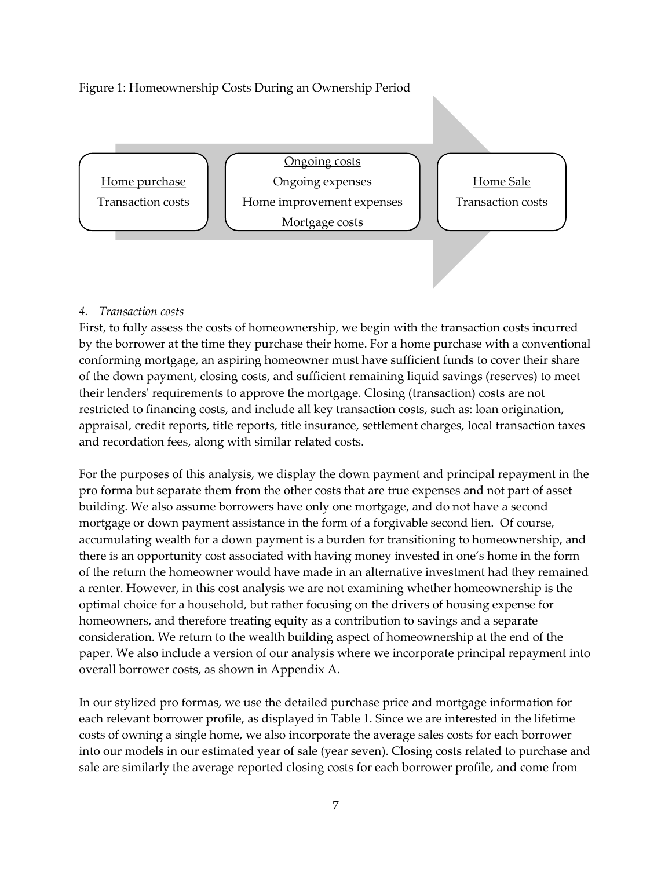# Figure 1: Homeownership Costs During an Ownership Period



## *4. Transaction costs*

First, to fully assess the costs of homeownership, we begin with the transaction costs incurred by the borrower at the time they purchase their home. For a home purchase with a conventional conforming mortgage, an aspiring homeowner must have sufficient funds to cover their share of the down payment, closing costs, and sufficient remaining liquid savings (reserves) to meet their lenders' requirements to approve the mortgage. Closing (transaction) costs are not restricted to financing costs, and include all key transaction costs, such as: loan origination, appraisal, credit reports, title reports, title insurance, settlement charges, local transaction taxes and recordation fees, along with similar related costs.

For the purposes of this analysis, we display the down payment and principal repayment in the pro forma but separate them from the other costs that are true expenses and not part of asset building. We also assume borrowers have only one mortgage, and do not have a second mortgage or down payment assistance in the form of a forgivable second lien. Of course, accumulating wealth for a down payment is a burden for transitioning to homeownership, and there is an opportunity cost associated with having money invested in one's home in the form of the return the homeowner would have made in an alternative investment had they remained a renter. However, in this cost analysis we are not examining whether homeownership is the optimal choice for a household, but rather focusing on the drivers of housing expense for homeowners, and therefore treating equity as a contribution to savings and a separate consideration. We return to the wealth building aspect of homeownership at the end of the paper. We also include a version of our analysis where we incorporate principal repayment into overall borrower costs, as shown in Appendix A.

In our stylized pro formas, we use the detailed purchase price and mortgage information for each relevant borrower profile, as displayed in Table 1. Since we are interested in the lifetime costs of owning a single home, we also incorporate the average sales costs for each borrower into our models in our estimated year of sale (year seven). Closing costs related to purchase and sale are similarly the average reported closing costs for each borrower profile, and come from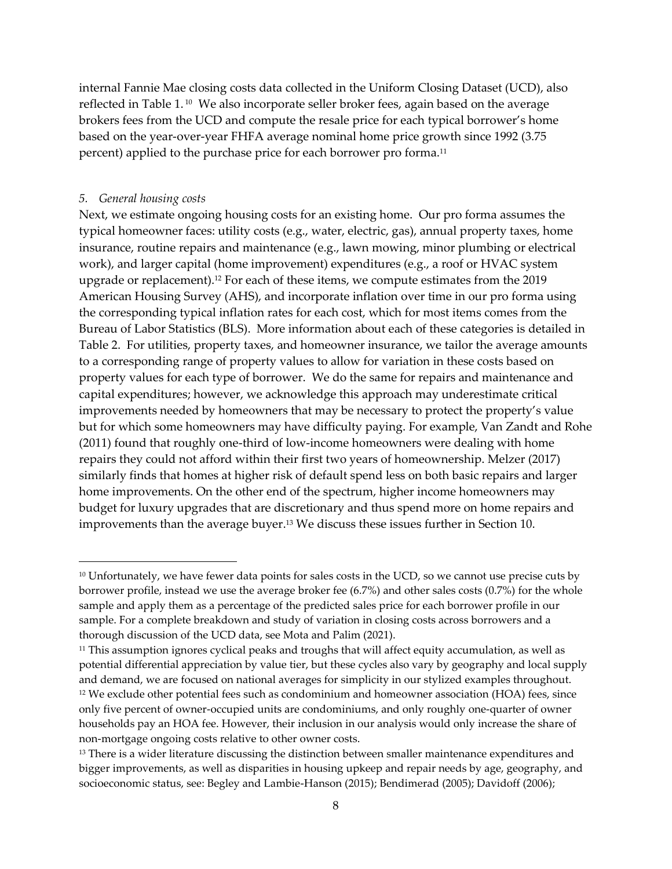internal Fannie Mae closing costs data collected in the Uniform Closing Dataset (UCD), also reflected in Table 1. <sup>10</sup> We also incorporate seller broker fees, again based on the average brokers fees from the UCD and compute the resale price for each typical borrower's home based on the year-over-year FHFA average nominal home price growth since 1992 (3.75 percent) applied to the purchase price for each borrower pro forma. 11

#### *5. General housing costs*

Next, we estimate ongoing housing costs for an existing home. Our pro forma assumes the typical homeowner faces: utility costs (e.g., water, electric, gas), annual property taxes, home insurance, routine repairs and maintenance (e.g., lawn mowing, minor plumbing or electrical work), and larger capital (home improvement) expenditures (e.g., a roof or HVAC system upgrade or replacement). <sup>12</sup> For each of these items, we compute estimates from the 2019 American Housing Survey (AHS), and incorporate inflation over time in our pro forma using the corresponding typical inflation rates for each cost, which for most items comes from the Bureau of Labor Statistics (BLS). More information about each of these categories is detailed in Table 2. For utilities, property taxes, and homeowner insurance, we tailor the average amounts to a corresponding range of property values to allow for variation in these costs based on property values for each type of borrower. We do the same for repairs and maintenance and capital expenditures; however, we acknowledge this approach may underestimate critical improvements needed by homeowners that may be necessary to protect the property's value but for which some homeowners may have difficulty paying. For example, Van Zandt and Rohe (2011) found that roughly one-third of low-income homeowners were dealing with home repairs they could not afford within their first two years of homeownership. Melzer (2017) similarly finds that homes at higher risk of default spend less on both basic repairs and larger home improvements. On the other end of the spectrum, higher income homeowners may budget for luxury upgrades that are discretionary and thus spend more on home repairs and improvements than the average buyer. <sup>13</sup> We discuss these issues further in Section 10.

<sup>&</sup>lt;sup>10</sup> Unfortunately, we have fewer data points for sales costs in the UCD, so we cannot use precise cuts by borrower profile, instead we use the average broker fee (6.7%) and other sales costs (0.7%) for the whole sample and apply them as a percentage of the predicted sales price for each borrower profile in our sample. For a complete breakdown and study of variation in closing costs across borrowers and a thorough discussion of the UCD data, see Mota and Palim (2021).

<sup>11</sup> This assumption ignores cyclical peaks and troughs that will affect equity accumulation, as well as potential differential appreciation by value tier, but these cycles also vary by geography and local supply and demand, we are focused on national averages for simplicity in our stylized examples throughout. <sup>12</sup> We exclude other potential fees such as condominium and homeowner association (HOA) fees, since only five percent of owner-occupied units are condominiums, and only roughly one-quarter of owner households pay an HOA fee. However, their inclusion in our analysis would only increase the share of non-mortgage ongoing costs relative to other owner costs.

<sup>&</sup>lt;sup>13</sup> There is a wider literature discussing the distinction between smaller maintenance expenditures and bigger improvements, as well as disparities in housing upkeep and repair needs by age, geography, and socioeconomic status, see: Begley and Lambie-Hanson (2015); Bendimerad (2005); Davidoff (2006);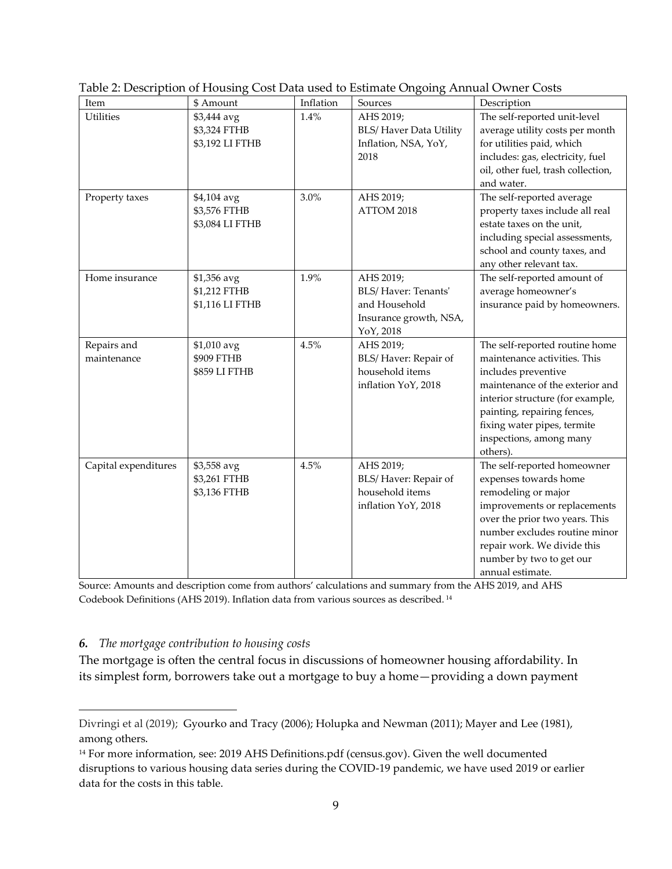| Item                       | \$ Amount                                       | Inflation | Sources                                                                                  | Description                                                                                                                                                                                                                                                       |
|----------------------------|-------------------------------------------------|-----------|------------------------------------------------------------------------------------------|-------------------------------------------------------------------------------------------------------------------------------------------------------------------------------------------------------------------------------------------------------------------|
| <b>Utilities</b>           | \$3,444 avg<br>\$3,324 FTHB<br>\$3,192 LI FTHB  | 1.4%      | AHS 2019;<br><b>BLS/ Haver Data Utility</b><br>Inflation, NSA, YoY,<br>2018              | The self-reported unit-level<br>average utility costs per month<br>for utilities paid, which<br>includes: gas, electricity, fuel<br>oil, other fuel, trash collection,<br>and water.                                                                              |
| Property taxes             | \$4,104 avg<br>\$3,576 FTHB<br>\$3,084 LI FTHB  | 3.0%      | AHS 2019;<br>ATTOM 2018                                                                  | The self-reported average<br>property taxes include all real<br>estate taxes on the unit,<br>including special assessments,<br>school and county taxes, and<br>any other relevant tax.                                                                            |
| Home insurance             | $$1,356$ avg<br>\$1,212 FTHB<br>\$1,116 LI FTHB | 1.9%      | AHS 2019;<br>BLS/Haver: Tenants'<br>and Household<br>Insurance growth, NSA,<br>YoY, 2018 | The self-reported amount of<br>average homeowner's<br>insurance paid by homeowners.                                                                                                                                                                               |
| Repairs and<br>maintenance | \$1,010 avg<br>\$909 FTHB<br>\$859 LI FTHB      | 4.5%      | AHS 2019;<br>BLS/Haver: Repair of<br>household items<br>inflation YoY, 2018              | The self-reported routine home<br>maintenance activities. This<br>includes preventive<br>maintenance of the exterior and<br>interior structure (for example,<br>painting, repairing fences,<br>fixing water pipes, termite<br>inspections, among many<br>others). |
| Capital expenditures       | \$3,558 avg<br>\$3,261 FTHB<br>\$3,136 FTHB     | 4.5%      | AHS 2019;<br>BLS/Haver: Repair of<br>household items<br>inflation YoY, 2018              | The self-reported homeowner<br>expenses towards home<br>remodeling or major<br>improvements or replacements<br>over the prior two years. This<br>number excludes routine minor<br>repair work. We divide this<br>number by two to get our<br>annual estimate.     |

| Table 2: Description of Housing Cost Data used to Estimate Ongoing Annual Owner Costs |  |  |  |
|---------------------------------------------------------------------------------------|--|--|--|
|                                                                                       |  |  |  |

Source: Amounts and description come from authors' calculations and summary from the AHS 2019, and AHS Codebook Definitions (AHS 2019). Inflation data from various sources as described. <sup>14</sup>

### *6. The mortgage contribution to housing costs*

The mortgage is often the central focus in discussions of homeowner housing affordability. In its simplest form, borrowers take out a mortgage to buy a home—providing a down payment

Divringi et al (2019); Gyourko and Tracy (2006); Holupka and Newman (2011); Mayer and Lee (1981), among others.

<sup>&</sup>lt;sup>14</sup> For more information, see: [2019 AHS Definitions.pdf \(census.gov\).](https://www2.census.gov/programs-surveys/ahs/2019/2019%20AHS%20Definitions.pdf) Given the well documented disruptions to various housing data series during the COVID-19 pandemic, we have used 2019 or earlier data for the costs in this table.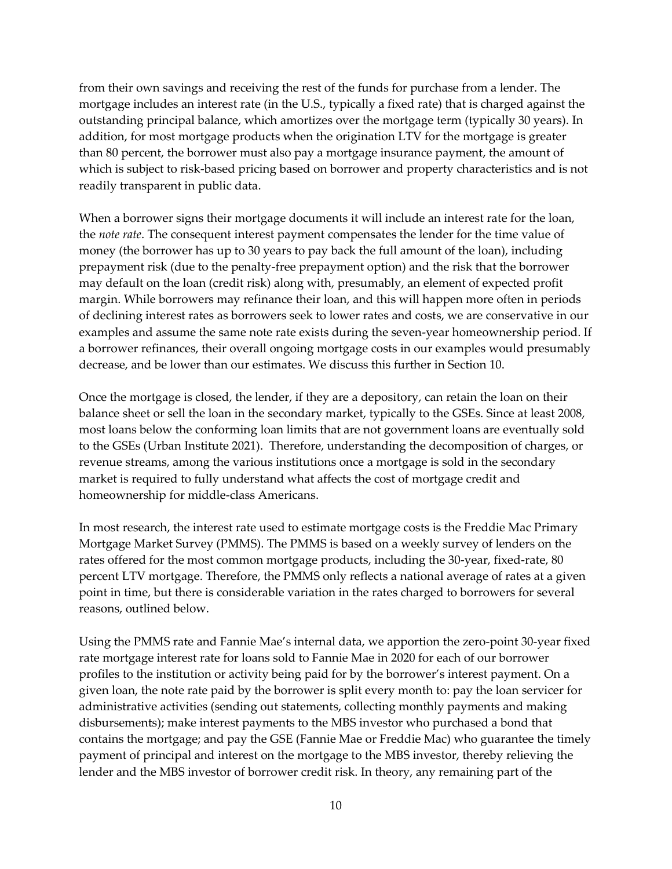from their own savings and receiving the rest of the funds for purchase from a lender. The mortgage includes an interest rate (in the U.S., typically a fixed rate) that is charged against the outstanding principal balance, which amortizes over the mortgage term (typically 30 years). In addition, for most mortgage products when the origination LTV for the mortgage is greater than 80 percent, the borrower must also pay a mortgage insurance payment, the amount of which is subject to risk-based pricing based on borrower and property characteristics and is not readily transparent in public data.

When a borrower signs their mortgage documents it will include an interest rate for the loan, the *note rate*. The consequent interest payment compensates the lender for the time value of money (the borrower has up to 30 years to pay back the full amount of the loan), including prepayment risk (due to the penalty-free prepayment option) and the risk that the borrower may default on the loan (credit risk) along with, presumably, an element of expected profit margin. While borrowers may refinance their loan, and this will happen more often in periods of declining interest rates as borrowers seek to lower rates and costs, we are conservative in our examples and assume the same note rate exists during the seven-year homeownership period. If a borrower refinances, their overall ongoing mortgage costs in our examples would presumably decrease, and be lower than our estimates. We discuss this further in Section 10.

Once the mortgage is closed, the lender, if they are a depository, can retain the loan on their balance sheet or sell the loan in the secondary market, typically to the GSEs. Since at least 2008, most loans below the conforming loan limits that are not government loans are eventually sold to the GSEs (Urban Institute 2021). Therefore, understanding the decomposition of charges, or revenue streams, among the various institutions once a mortgage is sold in the secondary market is required to fully understand what affects the cost of mortgage credit and homeownership for middle-class Americans.

In most research, the interest rate used to estimate mortgage costs is the Freddie Mac Primary Mortgage Market Survey (PMMS). The PMMS is based on a weekly survey of lenders on the rates offered for the most common mortgage products, including the 30-year, fixed-rate, 80 percent LTV mortgage. Therefore, the PMMS only reflects a national average of rates at a given point in time, but there is considerable variation in the rates charged to borrowers for several reasons, outlined below.

Using the PMMS rate and Fannie Mae's internal data, we apportion the zero-point 30-year fixed rate mortgage interest rate for loans sold to Fannie Mae in 2020 for each of our borrower profiles to the institution or activity being paid for by the borrower's interest payment. On a given loan, the note rate paid by the borrower is split every month to: pay the loan servicer for administrative activities (sending out statements, collecting monthly payments and making disbursements); make interest payments to the MBS investor who purchased a bond that contains the mortgage; and pay the GSE (Fannie Mae or Freddie Mac) who guarantee the timely payment of principal and interest on the mortgage to the MBS investor, thereby relieving the lender and the MBS investor of borrower credit risk. In theory, any remaining part of the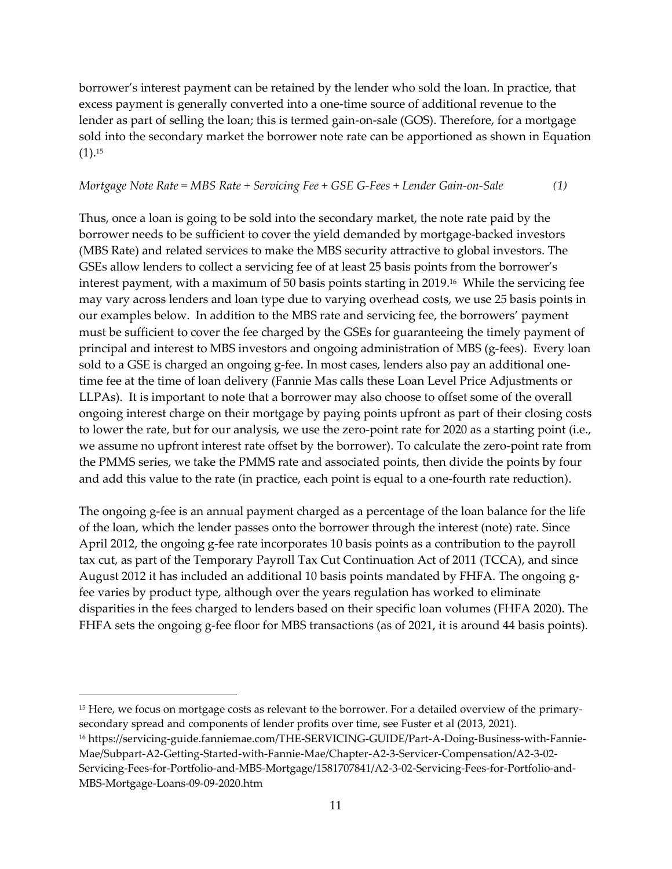borrower's interest payment can be retained by the lender who sold the loan. In practice, that excess payment is generally converted into a one-time source of additional revenue to the lender as part of selling the loan; this is termed gain-on-sale (GOS). Therefore, for a mortgage sold into the secondary market the borrower note rate can be apportioned as shown in Equation  $(1).^{15}$ 

#### *Mortgage Note Rate = MBS Rate + Servicing Fee + GSE G-Fees + Lender Gain-on-Sale (1)*

Thus, once a loan is going to be sold into the secondary market, the note rate paid by the borrower needs to be sufficient to cover the yield demanded by mortgage-backed investors (MBS Rate) and related services to make the MBS security attractive to global investors. The GSEs allow lenders to collect a servicing fee of at least 25 basis points from the borrower's interest payment, with a maximum of 50 basis points starting in 2019. <sup>16</sup> While the servicing fee may vary across lenders and loan type due to varying overhead costs, we use 25 basis points in our examples below. In addition to the MBS rate and servicing fee, the borrowers' payment must be sufficient to cover the fee charged by the GSEs for guaranteeing the timely payment of principal and interest to MBS investors and ongoing administration of MBS (g-fees). Every loan sold to a GSE is charged an ongoing g-fee. In most cases, lenders also pay an additional onetime fee at the time of loan delivery (Fannie Mas calls these Loan Level Price Adjustments or LLPAs). It is important to note that a borrower may also choose to offset some of the overall ongoing interest charge on their mortgage by paying points upfront as part of their closing costs to lower the rate, but for our analysis, we use the zero-point rate for 2020 as a starting point (i.e., we assume no upfront interest rate offset by the borrower). To calculate the zero-point rate from the PMMS series, we take the PMMS rate and associated points, then divide the points by four and add this value to the rate (in practice, each point is equal to a one-fourth rate reduction).

The ongoing g-fee is an annual payment charged as a percentage of the loan balance for the life of the loan, which the lender passes onto the borrower through the interest (note) rate. Since April 2012, the ongoing g-fee rate incorporates 10 basis points as a contribution to the payroll tax cut, as part of the Temporary Payroll Tax Cut Continuation Act of 2011 (TCCA), and since August 2012 it has included an additional 10 basis points mandated by FHFA. The ongoing gfee varies by product type, although over the years regulation has worked to eliminate disparities in the fees charged to lenders based on their specific loan volumes (FHFA 2020). The FHFA sets the ongoing g-fee floor for MBS transactions (as of 2021, it is around 44 basis points).

<sup>&</sup>lt;sup>15</sup> Here, we focus on mortgage costs as relevant to the borrower. For a detailed overview of the primarysecondary spread and components of lender profits over time, see Fuster et al (2013, 2021).

<sup>16</sup> https://servicing-guide.fanniemae.com/THE-SERVICING-GUIDE/Part-A-Doing-Business-with-Fannie-Mae/Subpart-A2-Getting-Started-with-Fannie-Mae/Chapter-A2-3-Servicer-Compensation/A2-3-02- Servicing-Fees-for-Portfolio-and-MBS-Mortgage/1581707841/A2-3-02-Servicing-Fees-for-Portfolio-and-MBS-Mortgage-Loans-09-09-2020.htm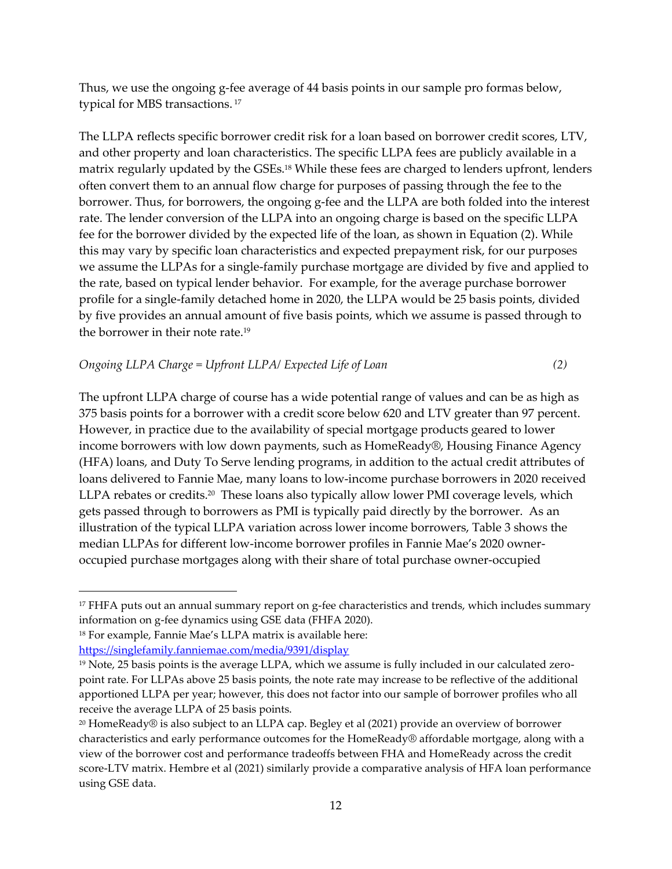Thus, we use the ongoing g-fee average of 44 basis points in our sample pro formas below, typical for MBS transactions. 17

The LLPA reflects specific borrower credit risk for a loan based on borrower credit scores, LTV, and other property and loan characteristics. The specific LLPA fees are publicly available in a matrix regularly updated by the GSEs.<sup>18</sup> While these fees are charged to lenders upfront, lenders often convert them to an annual flow charge for purposes of passing through the fee to the borrower. Thus, for borrowers, the ongoing g-fee and the LLPA are both folded into the interest rate. The lender conversion of the LLPA into an ongoing charge is based on the specific LLPA fee for the borrower divided by the expected life of the loan, as shown in Equation (2). While this may vary by specific loan characteristics and expected prepayment risk, for our purposes we assume the LLPAs for a single-family purchase mortgage are divided by five and applied to the rate, based on typical lender behavior. For example, for the average purchase borrower profile for a single-family detached home in 2020, the LLPA would be 25 basis points, divided by five provides an annual amount of five basis points, which we assume is passed through to the borrower in their note rate. 19

# *Ongoing LLPA Charge = Upfront LLPA/ Expected Life of Loan (2)*

The upfront LLPA charge of course has a wide potential range of values and can be as high as 375 basis points for a borrower with a credit score below 620 and LTV greater than 97 percent. However, in practice due to the availability of special mortgage products geared to lower income borrowers with low down payments, such as HomeReady®, Housing Finance Agency (HFA) loans, and Duty To Serve lending programs, in addition to the actual credit attributes of loans delivered to Fannie Mae, many loans to low-income purchase borrowers in 2020 received LLPA rebates or credits. <sup>20</sup> These loans also typically allow lower PMI coverage levels, which gets passed through to borrowers as PMI is typically paid directly by the borrower. As an illustration of the typical LLPA variation across lower income borrowers, Table 3 shows the median LLPAs for different low-income borrower profiles in Fannie Mae's 2020 owneroccupied purchase mortgages along with their share of total purchase owner-occupied

 $17$  FHFA puts out an annual summary report on g-fee characteristics and trends, which includes summary information on g-fee dynamics using GSE data (FHFA 2020).

<sup>18</sup> For example, Fannie Mae's LLPA matrix is available here:

<https://singlefamily.fanniemae.com/media/9391/display>

<sup>19</sup> Note, 25 basis points is the average LLPA, which we assume is fully included in our calculated zeropoint rate. For LLPAs above 25 basis points, the note rate may increase to be reflective of the additional apportioned LLPA per year; however, this does not factor into our sample of borrower profiles who all receive the average LLPA of 25 basis points.

<sup>20</sup> HomeReady® is also subject to an LLPA cap. Begley et al (2021) provide an overview of borrower characteristics and early performance outcomes for the HomeReady® affordable mortgage, along with a view of the borrower cost and performance tradeoffs between FHA and HomeReady across the credit score-LTV matrix. Hembre et al (2021) similarly provide a comparative analysis of HFA loan performance using GSE data.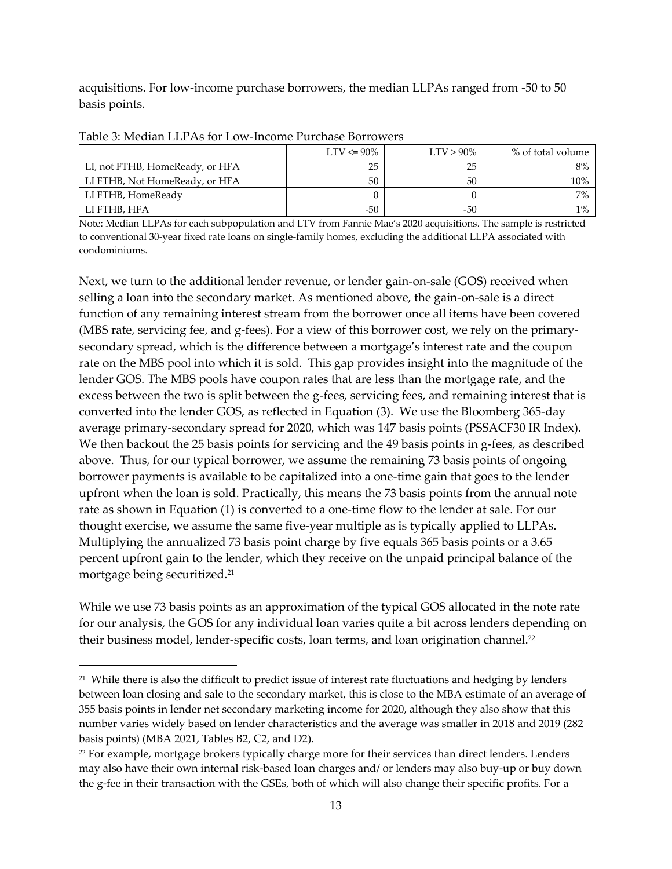acquisitions. For low-income purchase borrowers, the median LLPAs ranged from -50 to 50 basis points.

|                                 | $LTV \le 90\%$ | $LTV > 90\%$ | % of total volume |
|---------------------------------|----------------|--------------|-------------------|
| LI, not FTHB, HomeReady, or HFA | 25             | 25           | 8%                |
| LI FTHB, Not HomeReady, or HFA  | 50             | 50           | $10\%$            |
| LI FTHB, HomeReady              |                |              | $7\%$             |
| LI FTHB, HFA                    | $-50$          | -50          | $1\%$             |

Table 3: Median LLPAs for Low-Income Purchase Borrowers

Note: Median LLPAs for each subpopulation and LTV from Fannie Mae's 2020 acquisitions. The sample is restricted to conventional 30-year fixed rate loans on single-family homes, excluding the additional LLPA associated with condominiums.

Next, we turn to the additional lender revenue, or lender gain-on-sale (GOS) received when selling a loan into the secondary market. As mentioned above, the gain-on-sale is a direct function of any remaining interest stream from the borrower once all items have been covered (MBS rate, servicing fee, and g-fees). For a view of this borrower cost, we rely on the primarysecondary spread, which is the difference between a mortgage's interest rate and the coupon rate on the MBS pool into which it is sold. This gap provides insight into the magnitude of the lender GOS. The MBS pools have coupon rates that are less than the mortgage rate, and the excess between the two is split between the g-fees, servicing fees, and remaining interest that is converted into the lender GOS, as reflected in Equation (3). We use the Bloomberg 365-day average primary-secondary spread for 2020, which was 147 basis points (PSSACF30 IR Index). We then backout the 25 basis points for servicing and the 49 basis points in g-fees, as described above. Thus, for our typical borrower, we assume the remaining 73 basis points of ongoing borrower payments is available to be capitalized into a one-time gain that goes to the lender upfront when the loan is sold. Practically, this means the 73 basis points from the annual note rate as shown in Equation (1) is converted to a one-time flow to the lender at sale. For our thought exercise, we assume the same five-year multiple as is typically applied to LLPAs. Multiplying the annualized 73 basis point charge by five equals 365 basis points or a 3.65 percent upfront gain to the lender, which they receive on the unpaid principal balance of the mortgage being securitized. 21

While we use 73 basis points as an approximation of the typical GOS allocated in the note rate for our analysis, the GOS for any individual loan varies quite a bit across lenders depending on their business model, lender-specific costs, loan terms, and loan origination channel.<sup>22</sup>

 $21$  While there is also the difficult to predict issue of interest rate fluctuations and hedging by lenders between loan closing and sale to the secondary market, this is close to the MBA estimate of an average of 355 basis points in lender net secondary marketing income for 2020, although they also show that this number varies widely based on lender characteristics and the average was smaller in 2018 and 2019 (282 basis points) (MBA 2021, Tables B2, C2, and D2).

<sup>&</sup>lt;sup>22</sup> For example, mortgage brokers typically charge more for their services than direct lenders. Lenders may also have their own internal risk-based loan charges and/ or lenders may also buy-up or buy down the g-fee in their transaction with the GSEs, both of which will also change their specific profits. For a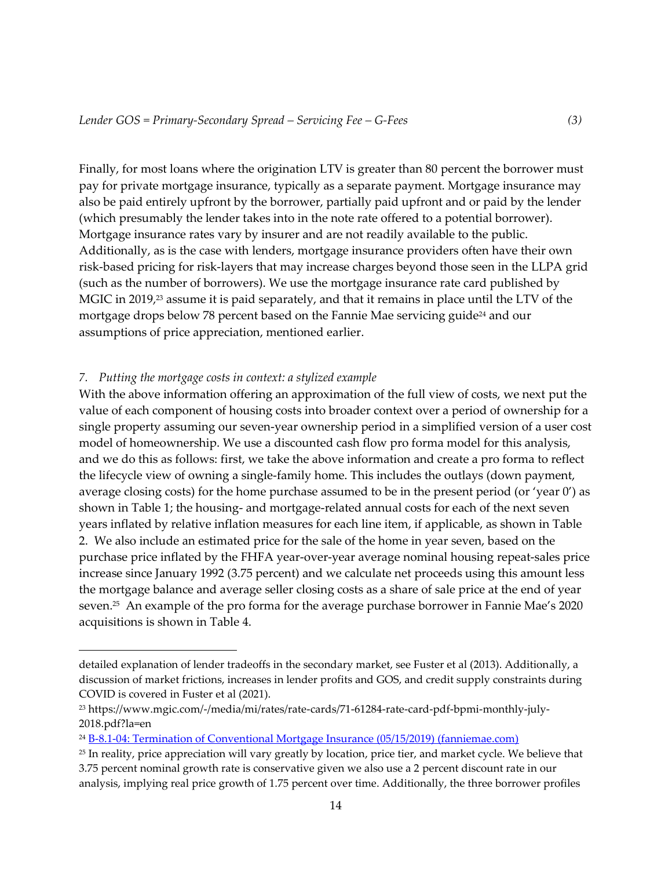Finally, for most loans where the origination LTV is greater than 80 percent the borrower must pay for private mortgage insurance, typically as a separate payment. Mortgage insurance may also be paid entirely upfront by the borrower, partially paid upfront and or paid by the lender (which presumably the lender takes into in the note rate offered to a potential borrower). Mortgage insurance rates vary by insurer and are not readily available to the public. Additionally, as is the case with lenders, mortgage insurance providers often have their own risk-based pricing for risk-layers that may increase charges beyond those seen in the LLPA grid (such as the number of borrowers). We use the mortgage insurance rate card published by MGIC in 2019, <sup>23</sup> assume it is paid separately, and that it remains in place until the LTV of the mortgage drops below 78 percent based on the Fannie Mae servicing guide<sup>24</sup> and our assumptions of price appreciation, mentioned earlier.

#### *7. Putting the mortgage costs in context: a stylized example*

With the above information offering an approximation of the full view of costs, we next put the value of each component of housing costs into broader context over a period of ownership for a single property assuming our seven-year ownership period in a simplified version of a user cost model of homeownership. We use a discounted cash flow pro forma model for this analysis, and we do this as follows: first, we take the above information and create a pro forma to reflect the lifecycle view of owning a single-family home. This includes the outlays (down payment, average closing costs) for the home purchase assumed to be in the present period (or 'year  $0'$ ) as shown in Table 1; the housing- and mortgage-related annual costs for each of the next seven years inflated by relative inflation measures for each line item, if applicable, as shown in Table 2. We also include an estimated price for the sale of the home in year seven, based on the purchase price inflated by the FHFA year-over-year average nominal housing repeat-sales price increase since January 1992 (3.75 percent) and we calculate net proceeds using this amount less the mortgage balance and average seller closing costs as a share of sale price at the end of year seven. 25 An example of the pro forma for the average purchase borrower in Fannie Mae's 2020 acquisitions is shown in Table 4.

detailed explanation of lender tradeoffs in the secondary market, see Fuster et al (2013). Additionally, a discussion of market frictions, increases in lender profits and GOS, and credit supply constraints during COVID is covered in Fuster et al (2021).

<sup>23</sup> https://www.mgic.com/-/media/mi/rates/rate-cards/71-61284-rate-card-pdf-bpmi-monthly-july-2018.pdf?la=en

<sup>24</sup> [B-8.1-04: Termination of Conventional Mortgage Insurance \(05/15/2019\) \(fanniemae.com\)](https://servicing-guide.fanniemae.com/THE-SERVICING-GUIDE/Part-B-Escrow-Taxes-Assessments-and-Insurance/Chapter-B-8-Mortgage-Insurance/Section-B-8-1-Conventional-Mortgage-Insurance-Requirements/B-8-1-04-Termination-of-Conventional-Mortgage-Insurance/1040972451/B-8-1-04-Termination-of-Conventional-Mortgage-Insurance-05-15-2019.htm#:~:text=Borrower-Initiated%20Termination%20of%20Conventional%20Mortgage%20Insurance%20Based%20on,in%20response%20to%20a%20borrower-initiated%20request%20for%20termination.)

<sup>25</sup> In reality, price appreciation will vary greatly by location, price tier, and market cycle. We believe that 3.75 percent nominal growth rate is conservative given we also use a 2 percent discount rate in our analysis, implying real price growth of 1.75 percent over time. Additionally, the three borrower profiles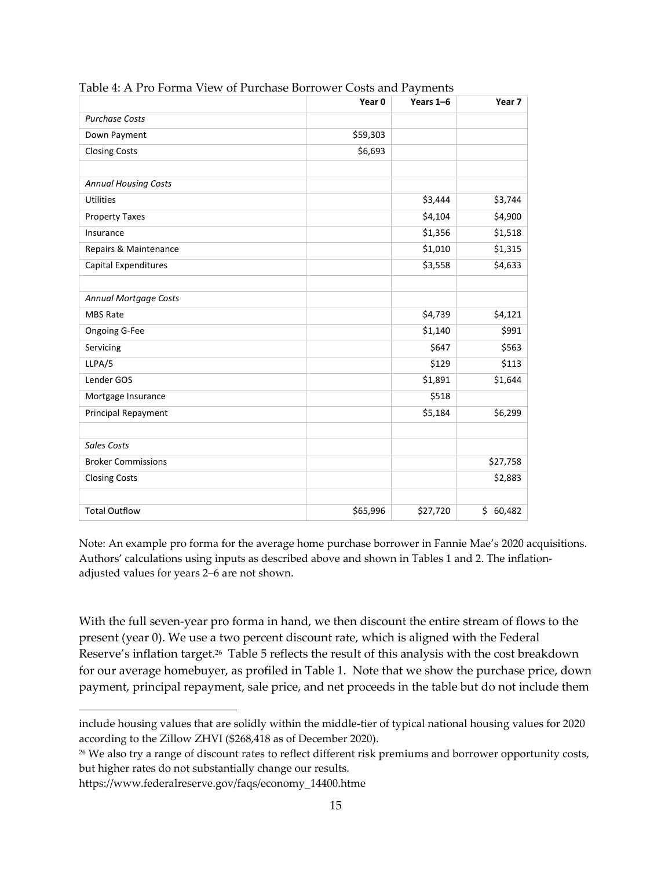|                             | Year 0   | Years 1-6 | Year <sub>7</sub> |
|-----------------------------|----------|-----------|-------------------|
| <b>Purchase Costs</b>       |          |           |                   |
| Down Payment                | \$59,303 |           |                   |
| <b>Closing Costs</b>        | \$6,693  |           |                   |
|                             |          |           |                   |
| <b>Annual Housing Costs</b> |          |           |                   |
| <b>Utilities</b>            |          | \$3,444   | \$3,744           |
| <b>Property Taxes</b>       |          | \$4,104   | \$4,900           |
| Insurance                   |          | \$1,356   | \$1,518           |
| Repairs & Maintenance       |          | \$1,010   | \$1,315           |
| Capital Expenditures        |          | \$3,558   | \$4,633           |
|                             |          |           |                   |
| Annual Mortgage Costs       |          |           |                   |
| <b>MBS Rate</b>             |          | \$4,739   | \$4,121           |
| Ongoing G-Fee               |          | \$1,140   | \$991             |
| Servicing                   |          | \$647     | \$563             |
| LLPA/5                      |          | \$129     | \$113             |
| Lender GOS                  |          | \$1,891   | \$1,644           |
| Mortgage Insurance          |          | \$518     |                   |
| Principal Repayment         |          | \$5,184   | \$6,299           |
| Sales Costs                 |          |           |                   |
| <b>Broker Commissions</b>   |          |           | \$27,758          |
| <b>Closing Costs</b>        |          |           | \$2,883           |
| <b>Total Outflow</b>        | \$65,996 | \$27,720  | \$60,482          |

Table 4: A Pro Forma View of Purchase Borrower Costs and Payments

Note: An example pro forma for the average home purchase borrower in Fannie Mae's 2020 acquisitions. Authors' calculations using inputs as described above and shown in Tables 1 and 2. The inflationadjusted values for years 2–6 are not shown.

With the full seven-year pro forma in hand, we then discount the entire stream of flows to the present (year 0). We use a two percent discount rate, which is aligned with the Federal Reserve's inflation target. 26 Table 5 reflects the result of this analysis with the cost breakdown for our average homebuyer, as profiled in Table 1. Note that we show the purchase price, down payment, principal repayment, sale price, and net proceeds in the table but do not include them

include housing values that are solidly within the middle-tier of typical national housing values for 2020 according to the Zillow ZHVI (\$268,418 as of December 2020).

<sup>26</sup> We also try a range of discount rates to reflect different risk premiums and borrower opportunity costs, but higher rates do not substantially change our results.

https://www.federalreserve.gov/faqs/economy\_14400.htme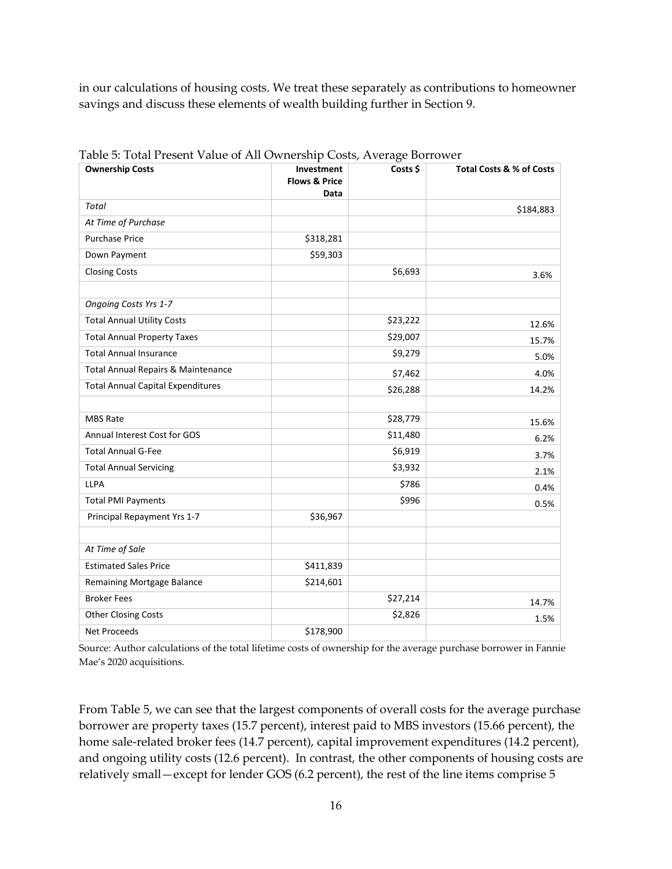in our calculations of housing costs. We treat these separately as contributions to homeowner savings and discuss these elements of wealth building further in Section 9.

| allesche value of the contentry costs, fivelage bollows<br><b>Ownership Costs</b> | Investment<br><b>Flows &amp; Price</b><br>Data | Costs \$ | Total Costs & % of Costs |
|-----------------------------------------------------------------------------------|------------------------------------------------|----------|--------------------------|
| <b>Total</b>                                                                      |                                                |          | \$184,883                |
| At Time of Purchase                                                               |                                                |          |                          |
| <b>Purchase Price</b>                                                             | \$318,281                                      |          |                          |
| Down Payment                                                                      | \$59,303                                       |          |                          |
| <b>Closing Costs</b>                                                              |                                                | \$6,693  | 3.6%                     |
| Ongoing Costs Yrs 1-7                                                             |                                                |          |                          |
| <b>Total Annual Utility Costs</b>                                                 |                                                | \$23,222 | 12.6%                    |
| <b>Total Annual Property Taxes</b>                                                |                                                | \$29,007 | 15.7%                    |
| <b>Total Annual Insurance</b>                                                     |                                                | \$9,279  | 5.0%                     |
| Total Annual Repairs & Maintenance                                                |                                                | \$7,462  | 4.0%                     |
| <b>Total Annual Capital Expenditures</b>                                          |                                                | \$26,288 | 14.2%                    |
| <b>MBS Rate</b>                                                                   |                                                | \$28,779 | 15.6%                    |
| Annual Interest Cost for GOS                                                      |                                                | \$11,480 | 6.2%                     |
| <b>Total Annual G-Fee</b>                                                         |                                                | \$6,919  | 3.7%                     |
| <b>Total Annual Servicing</b>                                                     |                                                | \$3,932  | 2.1%                     |
| <b>LLPA</b>                                                                       |                                                | \$786    | 0.4%                     |
| <b>Total PMI Payments</b>                                                         |                                                | \$996    | 0.5%                     |
| Principal Repayment Yrs 1-7                                                       | \$36,967                                       |          |                          |
| At Time of Sale                                                                   |                                                |          |                          |
| <b>Estimated Sales Price</b>                                                      | \$411,839                                      |          |                          |
| Remaining Mortgage Balance                                                        | \$214,601                                      |          |                          |
| <b>Broker Fees</b>                                                                |                                                | \$27,214 | 14.7%                    |
| <b>Other Closing Costs</b>                                                        |                                                | \$2,826  | 1.5%                     |
| <b>Net Proceeds</b>                                                               | \$178,900                                      |          |                          |

Table 5: Total Present Value of All Ownership Costs, Average Borrower

Source: Author calculations of the total lifetime costs of ownership for the average purchase borrower in Fannie Mae's 2020 acquisitions.

From Table 5, we can see that the largest components of overall costs for the average purchase borrower are property taxes (15.7 percent), interest paid to MBS investors (15.66 percent), the home sale-related broker fees (14.7 percent), capital improvement expenditures (14.2 percent), and ongoing utility costs (12.6 percent). In contrast, the other components of housing costs are relatively small—except for lender GOS (6.2 percent), the rest of the line items comprise 5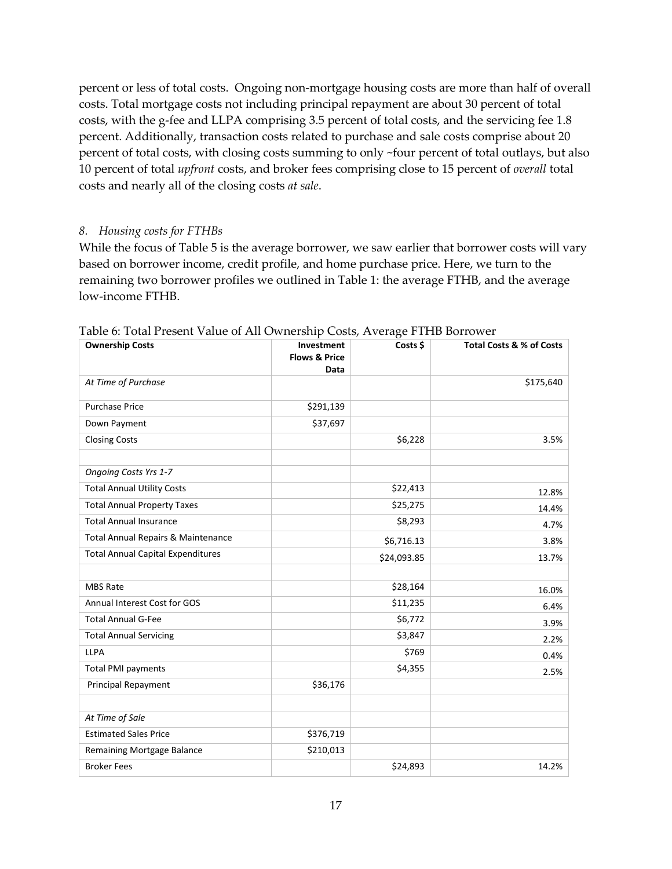percent or less of total costs. Ongoing non-mortgage housing costs are more than half of overall costs. Total mortgage costs not including principal repayment are about 30 percent of total costs, with the g-fee and LLPA comprising 3.5 percent of total costs, and the servicing fee 1.8 percent. Additionally, transaction costs related to purchase and sale costs comprise about 20 percent of total costs, with closing costs summing to only ~four percent of total outlays, but also 10 percent of total *upfront* costs, and broker fees comprising close to 15 percent of *overall* total costs and nearly all of the closing costs *at sale*.

#### *8. Housing costs for FTHBs*

While the focus of Table 5 is the average borrower, we saw earlier that borrower costs will vary based on borrower income, credit profile, and home purchase price. Here, we turn to the remaining two borrower profiles we outlined in Table 1: the average FTHB, and the average low-income FTHB.

| <b>Ownership Costs</b>                   | Investment<br><b>Flows &amp; Price</b><br>Data | Costs \$    | Total Costs & % of Costs |
|------------------------------------------|------------------------------------------------|-------------|--------------------------|
| At Time of Purchase                      |                                                |             | \$175,640                |
| <b>Purchase Price</b>                    | \$291,139                                      |             |                          |
| Down Payment                             | \$37,697                                       |             |                          |
| <b>Closing Costs</b>                     |                                                | \$6,228     | 3.5%                     |
| <b>Ongoing Costs Yrs 1-7</b>             |                                                |             |                          |
| <b>Total Annual Utility Costs</b>        |                                                | \$22,413    | 12.8%                    |
| <b>Total Annual Property Taxes</b>       |                                                | \$25,275    | 14.4%                    |
| <b>Total Annual Insurance</b>            |                                                | \$8,293     | 4.7%                     |
| Total Annual Repairs & Maintenance       |                                                | \$6,716.13  | 3.8%                     |
| <b>Total Annual Capital Expenditures</b> |                                                | \$24,093.85 | 13.7%                    |
| <b>MBS Rate</b>                          |                                                | \$28,164    | 16.0%                    |
| Annual Interest Cost for GOS             |                                                | \$11,235    | 6.4%                     |
| <b>Total Annual G-Fee</b>                |                                                | \$6,772     | 3.9%                     |
| <b>Total Annual Servicing</b>            |                                                | \$3,847     | 2.2%                     |
| <b>LLPA</b>                              |                                                | \$769       | 0.4%                     |
| <b>Total PMI payments</b>                |                                                | \$4,355     | 2.5%                     |
| <b>Principal Repayment</b>               | \$36,176                                       |             |                          |
| At Time of Sale                          |                                                |             |                          |
| <b>Estimated Sales Price</b>             | \$376,719                                      |             |                          |
| Remaining Mortgage Balance               | \$210,013                                      |             |                          |
| <b>Broker Fees</b>                       |                                                | \$24,893    | 14.2%                    |

Table 6: Total Present Value of All Ownership Costs, Average FTHB Borrower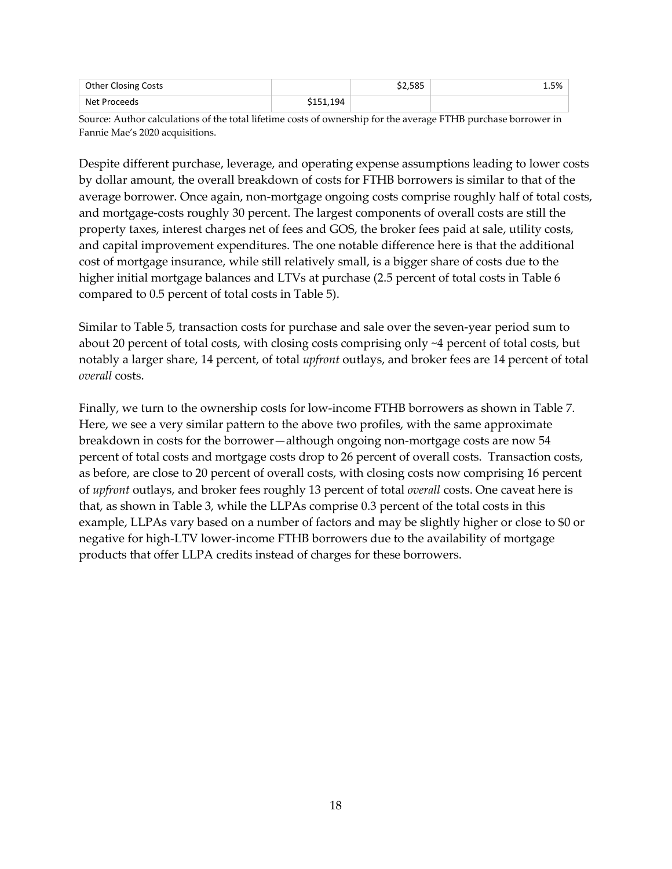| <b>Other Closing Costs</b> |          | \$2.585 | 1.5% |
|----------------------------|----------|---------|------|
| Net Proceeds               | 151,194ء |         |      |

Source: Author calculations of the total lifetime costs of ownership for the average FTHB purchase borrower in Fannie Mae's 2020 acquisitions.

Despite different purchase, leverage, and operating expense assumptions leading to lower costs by dollar amount, the overall breakdown of costs for FTHB borrowers is similar to that of the average borrower. Once again, non-mortgage ongoing costs comprise roughly half of total costs, and mortgage-costs roughly 30 percent. The largest components of overall costs are still the property taxes, interest charges net of fees and GOS, the broker fees paid at sale, utility costs, and capital improvement expenditures. The one notable difference here is that the additional cost of mortgage insurance, while still relatively small, is a bigger share of costs due to the higher initial mortgage balances and LTVs at purchase (2.5 percent of total costs in Table 6 compared to 0.5 percent of total costs in Table 5).

Similar to Table 5, transaction costs for purchase and sale over the seven-year period sum to about 20 percent of total costs, with closing costs comprising only ~4 percent of total costs, but notably a larger share, 14 percent, of total *upfront* outlays, and broker fees are 14 percent of total *overall* costs.

Finally, we turn to the ownership costs for low-income FTHB borrowers as shown in Table 7. Here, we see a very similar pattern to the above two profiles, with the same approximate breakdown in costs for the borrower—although ongoing non-mortgage costs are now 54 percent of total costs and mortgage costs drop to 26 percent of overall costs. Transaction costs, as before, are close to 20 percent of overall costs, with closing costs now comprising 16 percent of *upfront* outlays, and broker fees roughly 13 percent of total *overall* costs. One caveat here is that, as shown in Table 3, while the LLPAs comprise 0.3 percent of the total costs in this example, LLPAs vary based on a number of factors and may be slightly higher or close to \$0 or negative for high-LTV lower-income FTHB borrowers due to the availability of mortgage products that offer LLPA credits instead of charges for these borrowers.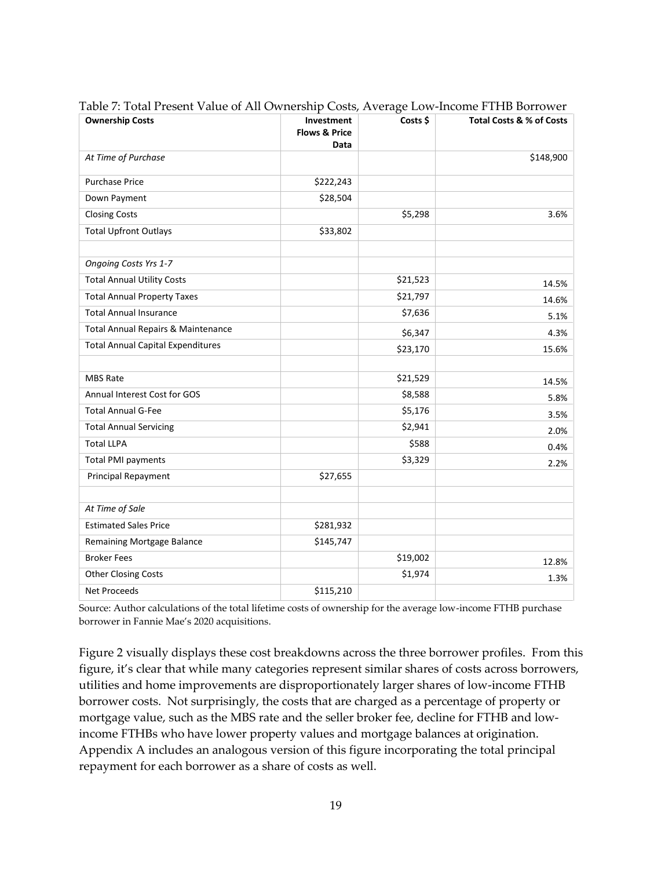| <b>Ownership Costs</b>                   | Investment<br><b>Flows &amp; Price</b><br>Data | Costs \$ | Total Costs & % of Costs |
|------------------------------------------|------------------------------------------------|----------|--------------------------|
| At Time of Purchase                      |                                                |          | \$148,900                |
| <b>Purchase Price</b>                    | \$222,243                                      |          |                          |
| Down Payment                             | \$28,504                                       |          |                          |
| <b>Closing Costs</b>                     |                                                | \$5,298  | 3.6%                     |
| <b>Total Upfront Outlays</b>             | \$33,802                                       |          |                          |
| Ongoing Costs Yrs 1-7                    |                                                |          |                          |
| <b>Total Annual Utility Costs</b>        |                                                | \$21,523 | 14.5%                    |
| <b>Total Annual Property Taxes</b>       |                                                | \$21,797 | 14.6%                    |
| <b>Total Annual Insurance</b>            |                                                | \$7,636  | 5.1%                     |
| Total Annual Repairs & Maintenance       |                                                | \$6,347  | 4.3%                     |
| <b>Total Annual Capital Expenditures</b> |                                                | \$23,170 | 15.6%                    |
| <b>MBS Rate</b>                          |                                                | \$21,529 | 14.5%                    |
| Annual Interest Cost for GOS             |                                                | \$8,588  | 5.8%                     |
| <b>Total Annual G-Fee</b>                |                                                | \$5,176  | 3.5%                     |
| <b>Total Annual Servicing</b>            |                                                | \$2,941  | 2.0%                     |
| <b>Total LLPA</b>                        |                                                | \$588    | 0.4%                     |
| <b>Total PMI payments</b>                |                                                | \$3,329  | 2.2%                     |
| Principal Repayment                      | \$27,655                                       |          |                          |
| At Time of Sale                          |                                                |          |                          |
| <b>Estimated Sales Price</b>             | \$281,932                                      |          |                          |
| Remaining Mortgage Balance               | \$145,747                                      |          |                          |
| <b>Broker Fees</b>                       |                                                | \$19,002 | 12.8%                    |
| <b>Other Closing Costs</b>               |                                                | \$1,974  | 1.3%                     |
| <b>Net Proceeds</b>                      | \$115,210                                      |          |                          |

Table 7: Total Present Value of All Ownership Costs, Average Low-Income FTHB Borrower

Source: Author calculations of the total lifetime costs of ownership for the average low-income FTHB purchase borrower in Fannie Mae's 2020 acquisitions.

Figure 2 visually displays these cost breakdowns across the three borrower profiles. From this figure, it's clear that while many categories represent similar shares of costs across borrowers, utilities and home improvements are disproportionately larger shares of low-income FTHB borrower costs. Not surprisingly, the costs that are charged as a percentage of property or mortgage value, such as the MBS rate and the seller broker fee, decline for FTHB and lowincome FTHBs who have lower property values and mortgage balances at origination. Appendix A includes an analogous version of this figure incorporating the total principal repayment for each borrower as a share of costs as well.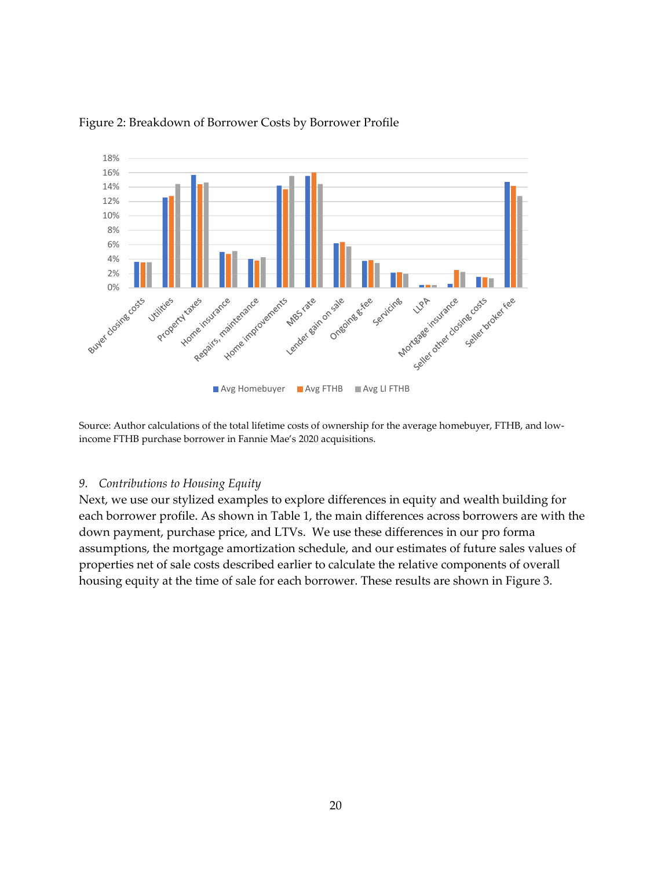

#### Figure 2: Breakdown of Borrower Costs by Borrower Profile

Source: Author calculations of the total lifetime costs of ownership for the average homebuyer, FTHB, and lowincome FTHB purchase borrower in Fannie Mae's 2020 acquisitions.

#### *9. Contributions to Housing Equity*

Next, we use our stylized examples to explore differences in equity and wealth building for each borrower profile. As shown in Table 1, the main differences across borrowers are with the down payment, purchase price, and LTVs. We use these differences in our pro forma assumptions, the mortgage amortization schedule, and our estimates of future sales values of properties net of sale costs described earlier to calculate the relative components of overall housing equity at the time of sale for each borrower. These results are shown in Figure 3.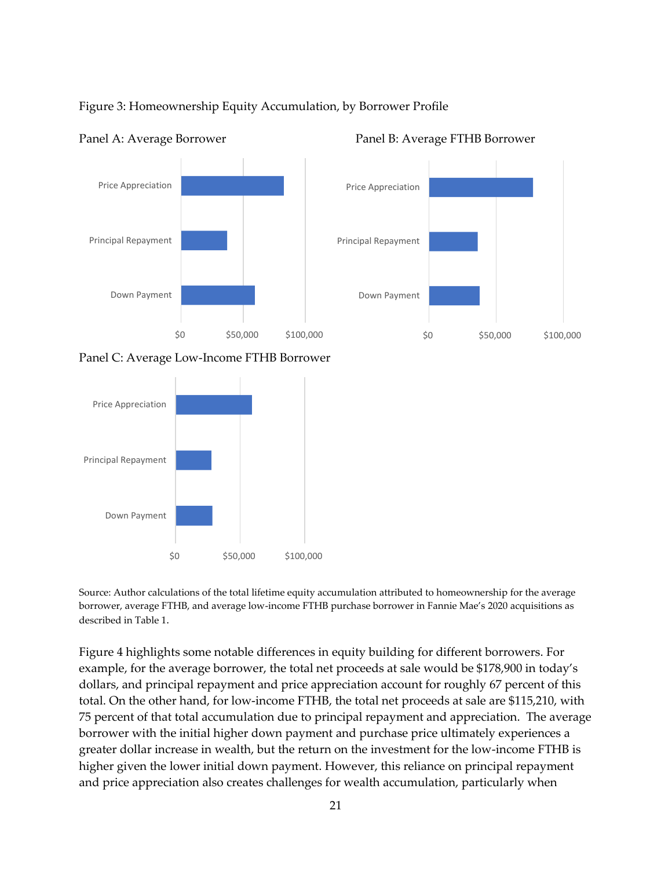



#### Panel A: Average Borrower Panel B: Average FTHB Borrower



Panel C: Average Low-Income FTHB Borrower



Source: Author calculations of the total lifetime equity accumulation attributed to homeownership for the average borrower, average FTHB, and average low-income FTHB purchase borrower in Fannie Mae's 2020 acquisitions as described in Table 1.

Figure 4 highlights some notable differences in equity building for different borrowers. For example, for the average borrower, the total net proceeds at sale would be \$178,900 in today's dollars, and principal repayment and price appreciation account for roughly 67 percent of this total. On the other hand, for low-income FTHB, the total net proceeds at sale are \$115,210, with 75 percent of that total accumulation due to principal repayment and appreciation. The average borrower with the initial higher down payment and purchase price ultimately experiences a greater dollar increase in wealth, but the return on the investment for the low-income FTHB is higher given the lower initial down payment. However, this reliance on principal repayment and price appreciation also creates challenges for wealth accumulation, particularly when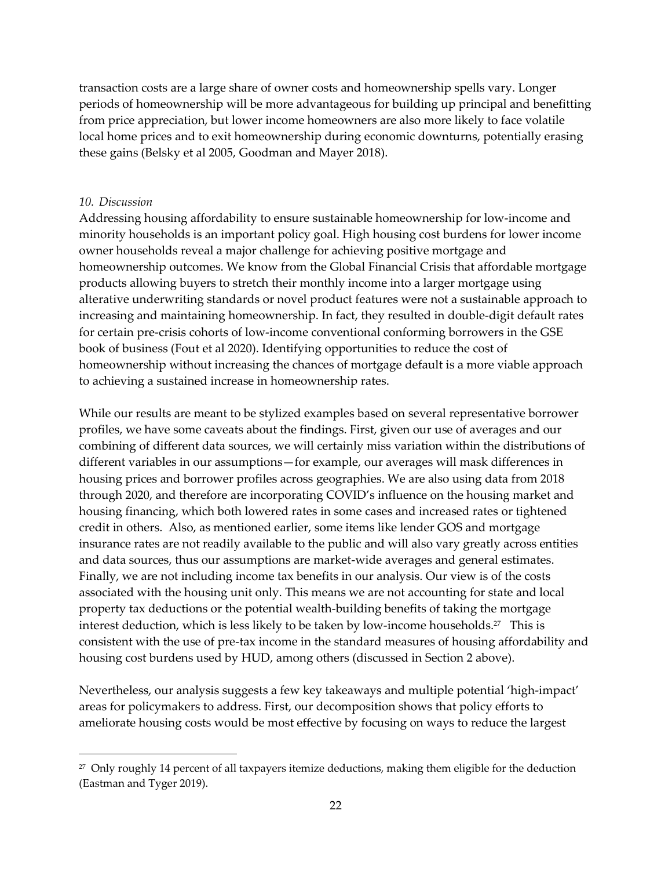transaction costs are a large share of owner costs and homeownership spells vary. Longer periods of homeownership will be more advantageous for building up principal and benefitting from price appreciation, but lower income homeowners are also more likely to face volatile local home prices and to exit homeownership during economic downturns, potentially erasing these gains (Belsky et al 2005, Goodman and Mayer 2018).

#### *10. Discussion*

Addressing housing affordability to ensure sustainable homeownership for low-income and minority households is an important policy goal. High housing cost burdens for lower income owner households reveal a major challenge for achieving positive mortgage and homeownership outcomes. We know from the Global Financial Crisis that affordable mortgage products allowing buyers to stretch their monthly income into a larger mortgage using alterative underwriting standards or novel product features were not a sustainable approach to increasing and maintaining homeownership. In fact, they resulted in double-digit default rates for certain pre-crisis cohorts of low-income conventional conforming borrowers in the GSE book of business (Fout et al 2020). Identifying opportunities to reduce the cost of homeownership without increasing the chances of mortgage default is a more viable approach to achieving a sustained increase in homeownership rates.

While our results are meant to be stylized examples based on several representative borrower profiles, we have some caveats about the findings. First, given our use of averages and our combining of different data sources, we will certainly miss variation within the distributions of different variables in our assumptions—for example, our averages will mask differences in housing prices and borrower profiles across geographies. We are also using data from 2018 through 2020, and therefore are incorporating COVID's influence on the housing market and housing financing, which both lowered rates in some cases and increased rates or tightened credit in others. Also, as mentioned earlier, some items like lender GOS and mortgage insurance rates are not readily available to the public and will also vary greatly across entities and data sources, thus our assumptions are market-wide averages and general estimates. Finally, we are not including income tax benefits in our analysis. Our view is of the costs associated with the housing unit only. This means we are not accounting for state and local property tax deductions or the potential wealth-building benefits of taking the mortgage interest deduction, which is less likely to be taken by low-income households. $^{27}$  This is consistent with the use of pre-tax income in the standard measures of housing affordability and housing cost burdens used by HUD, among others (discussed in Section 2 above).

Nevertheless, our analysis suggests a few key takeaways and multiple potential 'high-impact' areas for policymakers to address. First, our decomposition shows that policy efforts to ameliorate housing costs would be most effective by focusing on ways to reduce the largest

 $2<sup>27</sup>$  Only roughly 14 percent of all taxpayers itemize deductions, making them eligible for the deduction (Eastman and Tyger 2019).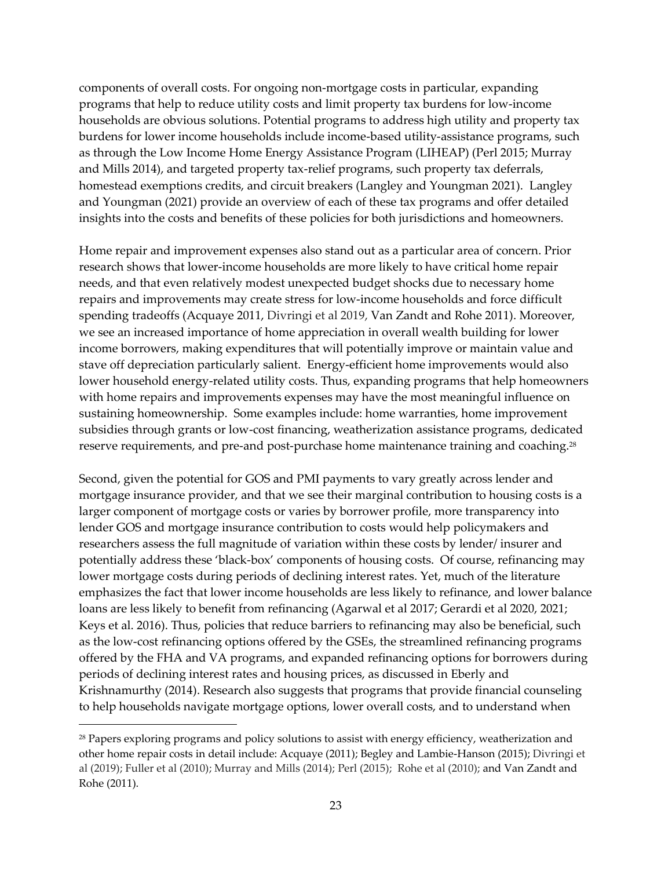components of overall costs. For ongoing non-mortgage costs in particular, expanding programs that help to reduce utility costs and limit property tax burdens for low-income households are obvious solutions. Potential programs to address high utility and property tax burdens for lower income households include income-based utility-assistance programs, such as through the Low Income Home Energy Assistance Program (LIHEAP) (Perl 2015; Murray and Mills 2014), and targeted property tax-relief programs, such property tax deferrals, homestead exemptions credits, and circuit breakers (Langley and Youngman 2021). Langley and Youngman (2021) provide an overview of each of these tax programs and offer detailed insights into the costs and benefits of these policies for both jurisdictions and homeowners.

Home repair and improvement expenses also stand out as a particular area of concern. Prior research shows that lower-income households are more likely to have critical home repair needs, and that even relatively modest unexpected budget shocks due to necessary home repairs and improvements may create stress for low-income households and force difficult spending tradeoffs (Acquaye 2011, Divringi et al 2019, Van Zandt and Rohe 2011). Moreover, we see an increased importance of home appreciation in overall wealth building for lower income borrowers, making expenditures that will potentially improve or maintain value and stave off depreciation particularly salient. Energy-efficient home improvements would also lower household energy-related utility costs. Thus, expanding programs that help homeowners with home repairs and improvements expenses may have the most meaningful influence on sustaining homeownership. Some examples include: home warranties, home improvement subsidies through grants or low-cost financing, weatherization assistance programs, dedicated reserve requirements, and pre-and post-purchase home maintenance training and coaching.<sup>28</sup>

Second, given the potential for GOS and PMI payments to vary greatly across lender and mortgage insurance provider, and that we see their marginal contribution to housing costs is a larger component of mortgage costs or varies by borrower profile, more transparency into lender GOS and mortgage insurance contribution to costs would help policymakers and researchers assess the full magnitude of variation within these costs by lender/ insurer and potentially address these 'black-box' components of housing costs. Of course, refinancing may lower mortgage costs during periods of declining interest rates. Yet, much of the literature emphasizes the fact that lower income households are less likely to refinance, and lower balance loans are less likely to benefit from refinancing (Agarwal et al 2017; Gerardi et al 2020, 2021; Keys et al. 2016). Thus, policies that reduce barriers to refinancing may also be beneficial, such as the low-cost refinancing options offered by the GSEs, the streamlined refinancing programs offered by the FHA and VA programs, and expanded refinancing options for borrowers during periods of declining interest rates and housing prices, as discussed in Eberly and Krishnamurthy (2014). Research also suggests that programs that provide financial counseling to help households navigate mortgage options, lower overall costs, and to understand when

<sup>&</sup>lt;sup>28</sup> Papers exploring programs and policy solutions to assist with energy efficiency, weatherization and other home repair costs in detail include: Acquaye (2011); Begley and Lambie-Hanson (2015); Divringi et al (2019); Fuller et al (2010); Murray and Mills (2014); Perl (2015); Rohe et al (2010); and Van Zandt and Rohe (2011).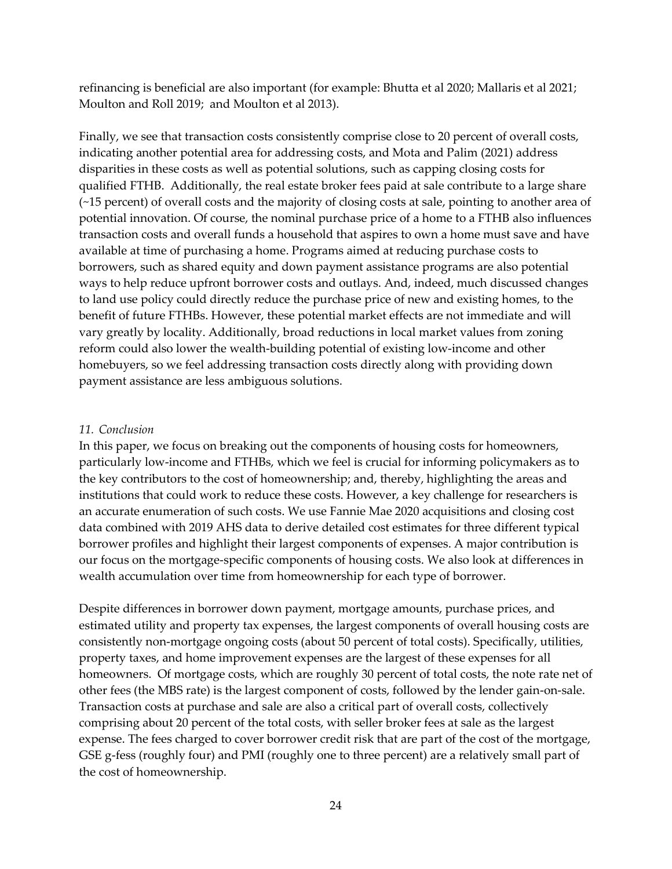refinancing is beneficial are also important (for example: Bhutta et al 2020; Mallaris et al 2021; Moulton and Roll 2019; and Moulton et al 2013).

Finally, we see that transaction costs consistently comprise close to 20 percent of overall costs, indicating another potential area for addressing costs, and Mota and Palim (2021) address disparities in these costs as well as potential solutions, such as capping closing costs for qualified FTHB. Additionally, the real estate broker fees paid at sale contribute to a large share (~15 percent) of overall costs and the majority of closing costs at sale, pointing to another area of potential innovation. Of course, the nominal purchase price of a home to a FTHB also influences transaction costs and overall funds a household that aspires to own a home must save and have available at time of purchasing a home. Programs aimed at reducing purchase costs to borrowers, such as shared equity and down payment assistance programs are also potential ways to help reduce upfront borrower costs and outlays. And, indeed, much discussed changes to land use policy could directly reduce the purchase price of new and existing homes, to the benefit of future FTHBs. However, these potential market effects are not immediate and will vary greatly by locality. Additionally, broad reductions in local market values from zoning reform could also lower the wealth-building potential of existing low-income and other homebuyers, so we feel addressing transaction costs directly along with providing down payment assistance are less ambiguous solutions.

### *11. Conclusion*

In this paper, we focus on breaking out the components of housing costs for homeowners, particularly low-income and FTHBs, which we feel is crucial for informing policymakers as to the key contributors to the cost of homeownership; and, thereby, highlighting the areas and institutions that could work to reduce these costs. However, a key challenge for researchers is an accurate enumeration of such costs. We use Fannie Mae 2020 acquisitions and closing cost data combined with 2019 AHS data to derive detailed cost estimates for three different typical borrower profiles and highlight their largest components of expenses. A major contribution is our focus on the mortgage-specific components of housing costs. We also look at differences in wealth accumulation over time from homeownership for each type of borrower.

Despite differences in borrower down payment, mortgage amounts, purchase prices, and estimated utility and property tax expenses, the largest components of overall housing costs are consistently non-mortgage ongoing costs (about 50 percent of total costs). Specifically, utilities, property taxes, and home improvement expenses are the largest of these expenses for all homeowners. Of mortgage costs, which are roughly 30 percent of total costs, the note rate net of other fees (the MBS rate) is the largest component of costs, followed by the lender gain-on-sale. Transaction costs at purchase and sale are also a critical part of overall costs, collectively comprising about 20 percent of the total costs, with seller broker fees at sale as the largest expense. The fees charged to cover borrower credit risk that are part of the cost of the mortgage, GSE g-fess (roughly four) and PMI (roughly one to three percent) are a relatively small part of the cost of homeownership.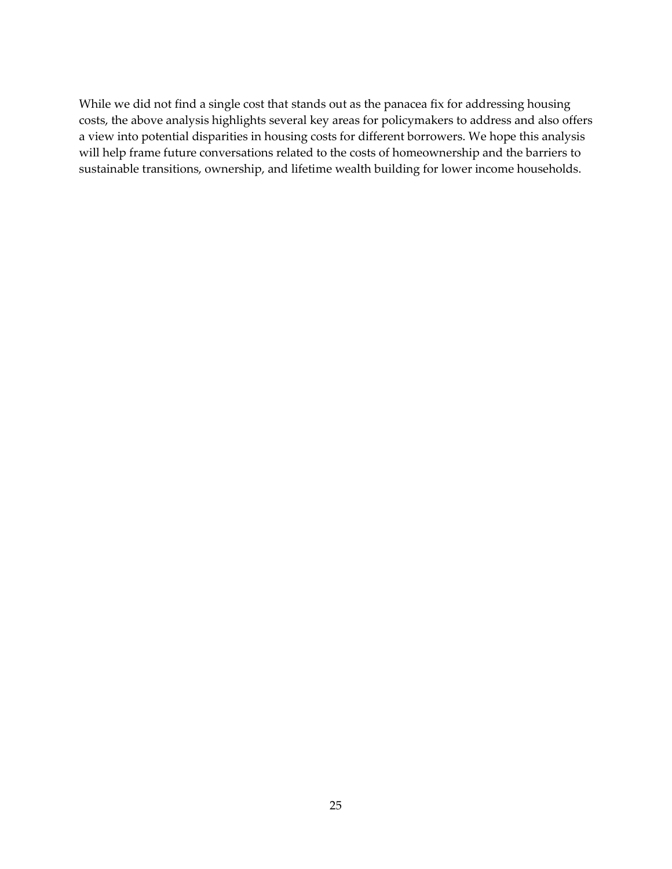While we did not find a single cost that stands out as the panacea fix for addressing housing costs, the above analysis highlights several key areas for policymakers to address and also offers a view into potential disparities in housing costs for different borrowers. We hope this analysis will help frame future conversations related to the costs of homeownership and the barriers to sustainable transitions, ownership, and lifetime wealth building for lower income households.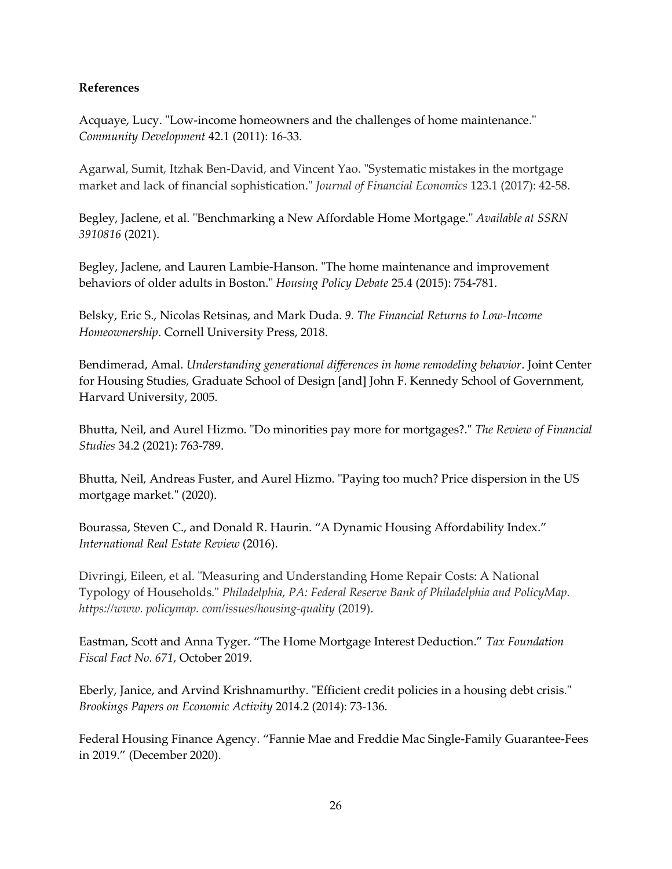# **References**

Acquaye, Lucy. "Low-income homeowners and the challenges of home maintenance." *Community Development* 42.1 (2011): 16-33.

Agarwal, Sumit, Itzhak Ben-David, and Vincent Yao. "Systematic mistakes in the mortgage market and lack of financial sophistication." *Journal of Financial Economics* 123.1 (2017): 42-58.

Begley, Jaclene, et al. "Benchmarking a New Affordable Home Mortgage." *Available at SSRN 3910816* (2021).

Begley, Jaclene, and Lauren Lambie-Hanson. "The home maintenance and improvement behaviors of older adults in Boston." *Housing Policy Debate* 25.4 (2015): 754-781.

Belsky, Eric S., Nicolas Retsinas, and Mark Duda. *9. The Financial Returns to Low-Income Homeownership*. Cornell University Press, 2018.

Bendimerad, Amal. *Understanding generational differences in home remodeling behavior*. Joint Center for Housing Studies, Graduate School of Design [and] John F. Kennedy School of Government, Harvard University, 2005.

Bhutta, Neil, and Aurel Hizmo. "Do minorities pay more for mortgages?." *The Review of Financial Studies* 34.2 (2021): 763-789.

Bhutta, Neil, Andreas Fuster, and Aurel Hizmo. "Paying too much? Price dispersion in the US mortgage market." (2020).

Bourassa, Steven C., and Donald R. Haurin. "A Dynamic Housing Affordability Index." *International Real Estate Review* (2016).

Divringi, Eileen, et al. "Measuring and Understanding Home Repair Costs: A National Typology of Households." *Philadelphia, PA: Federal Reserve Bank of Philadelphia and PolicyMap. https://www. policymap. com/issues/housing-quality* (2019).

Eastman, Scott and Anna Tyger. "The Home Mortgage Interest Deduction." *Tax Foundation Fiscal Fact No. 671*, October 2019.

Eberly, Janice, and Arvind Krishnamurthy. "Efficient credit policies in a housing debt crisis." *Brookings Papers on Economic Activity* 2014.2 (2014): 73-136.

Federal Housing Finance Agency. "Fannie Mae and Freddie Mac Single-Family Guarantee-Fees in 2019." (December 2020).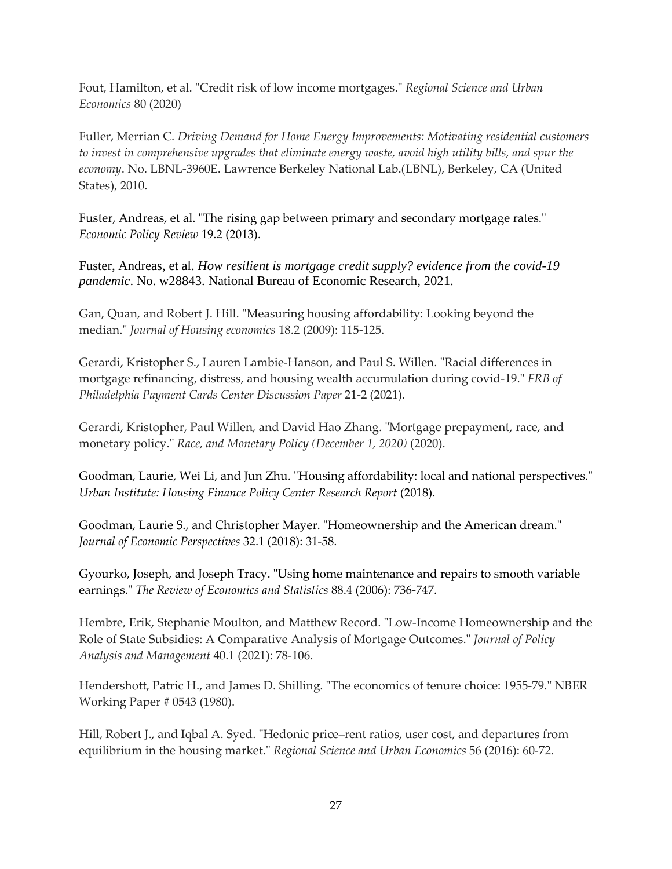Fout, Hamilton, et al. "Credit risk of low income mortgages." *Regional Science and Urban Economics* 80 (2020)

Fuller, Merrian C. *Driving Demand for Home Energy Improvements: Motivating residential customers to invest in comprehensive upgrades that eliminate energy waste, avoid high utility bills, and spur the economy*. No. LBNL-3960E. Lawrence Berkeley National Lab.(LBNL), Berkeley, CA (United States), 2010.

Fuster, Andreas, et al. "The rising gap between primary and secondary mortgage rates." *Economic Policy Review* 19.2 (2013).

Fuster, Andreas, et al. *How resilient is mortgage credit supply? evidence from the covid-19 pandemic*. No. w28843. National Bureau of Economic Research, 2021.

Gan, Quan, and Robert J. Hill. "Measuring housing affordability: Looking beyond the median." *Journal of Housing economics* 18.2 (2009): 115-125.

Gerardi, Kristopher S., Lauren Lambie-Hanson, and Paul S. Willen. "Racial differences in mortgage refinancing, distress, and housing wealth accumulation during covid-19." *FRB of Philadelphia Payment Cards Center Discussion Paper* 21-2 (2021).

Gerardi, Kristopher, Paul Willen, and David Hao Zhang. "Mortgage prepayment, race, and monetary policy." *Race, and Monetary Policy (December 1, 2020)* (2020).

Goodman, Laurie, Wei Li, and Jun Zhu. "Housing affordability: local and national perspectives." *Urban Institute: Housing Finance Policy Center Research Report* (2018).

Goodman, Laurie S., and Christopher Mayer. "Homeownership and the American dream." *Journal of Economic Perspectives* 32.1 (2018): 31-58.

Gyourko, Joseph, and Joseph Tracy. "Using home maintenance and repairs to smooth variable earnings." *The Review of Economics and Statistics* 88.4 (2006): 736-747.

Hembre, Erik, Stephanie Moulton, and Matthew Record. "Low‐Income Homeownership and the Role of State Subsidies: A Comparative Analysis of Mortgage Outcomes." *Journal of Policy Analysis and Management* 40.1 (2021): 78-106.

Hendershott, Patric H., and James D. Shilling. "The economics of tenure choice: 1955-79." NBER Working Paper # 0543 (1980).

Hill, Robert J., and Iqbal A. Syed. "Hedonic price–rent ratios, user cost, and departures from equilibrium in the housing market." *Regional Science and Urban Economics* 56 (2016): 60-72.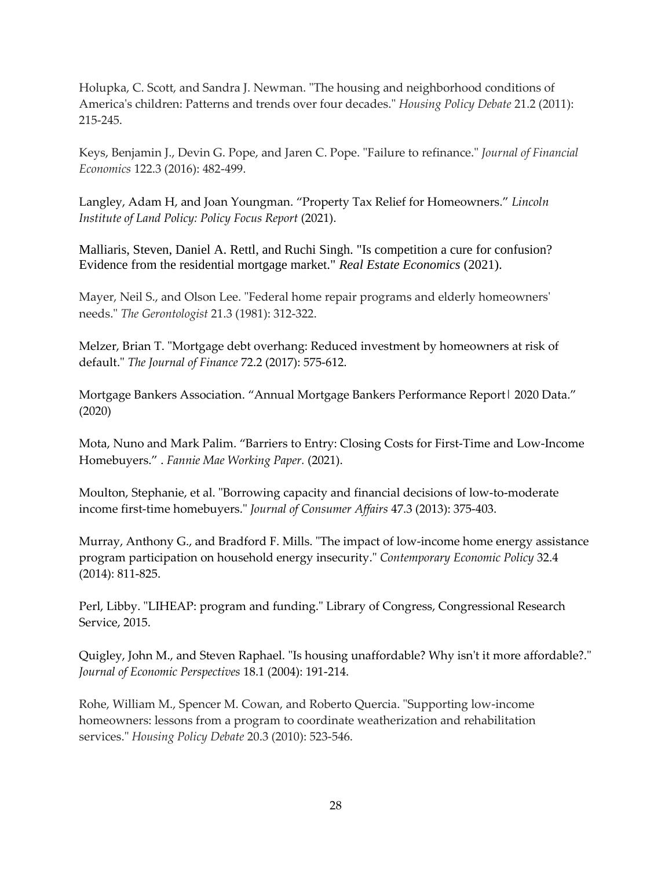Holupka, C. Scott, and Sandra J. Newman. "The housing and neighborhood conditions of America's children: Patterns and trends over four decades." *Housing Policy Debate* 21.2 (2011): 215-245.

Keys, Benjamin J., Devin G. Pope, and Jaren C. Pope. "Failure to refinance." *Journal of Financial Economics* 122.3 (2016): 482-499.

Langley, Adam H, and Joan Youngman. "Property Tax Relief for Homeowners." *Lincoln Institute of Land Policy: Policy Focus Report* (2021).

Malliaris, Steven, Daniel A. Rettl, and Ruchi Singh. "Is competition a cure for confusion? Evidence from the residential mortgage market." *Real Estate Economics* (2021).

Mayer, Neil S., and Olson Lee. "Federal home repair programs and elderly homeowners' needs." *The Gerontologist* 21.3 (1981): 312-322.

Melzer, Brian T. "Mortgage debt overhang: Reduced investment by homeowners at risk of default." *The Journal of Finance* 72.2 (2017): 575-612.

Mortgage Bankers Association. "Annual Mortgage Bankers Performance Report| 2020 Data." (2020)

Mota, Nuno and Mark Palim. "Barriers to Entry: Closing Costs for First-Time and Low-Income Homebuyers." . *Fannie Mae Working Paper.* (2021).

Moulton, Stephanie, et al. "Borrowing capacity and financial decisions of low‐to‐moderate income first‐time homebuyers." *Journal of Consumer Affairs* 47.3 (2013): 375-403.

Murray, Anthony G., and Bradford F. Mills. "The impact of low-income home energy assistance program participation on household energy insecurity." *Contemporary Economic Policy* 32.4 (2014): 811-825.

Perl, Libby. "LIHEAP: program and funding." Library of Congress, Congressional Research Service, 2015.

Quigley, John M., and Steven Raphael. "Is housing unaffordable? Why isn't it more affordable?." *Journal of Economic Perspectives* 18.1 (2004): 191-214.

Rohe, William M., Spencer M. Cowan, and Roberto Quercia. "Supporting low-income homeowners: lessons from a program to coordinate weatherization and rehabilitation services." *Housing Policy Debate* 20.3 (2010): 523-546.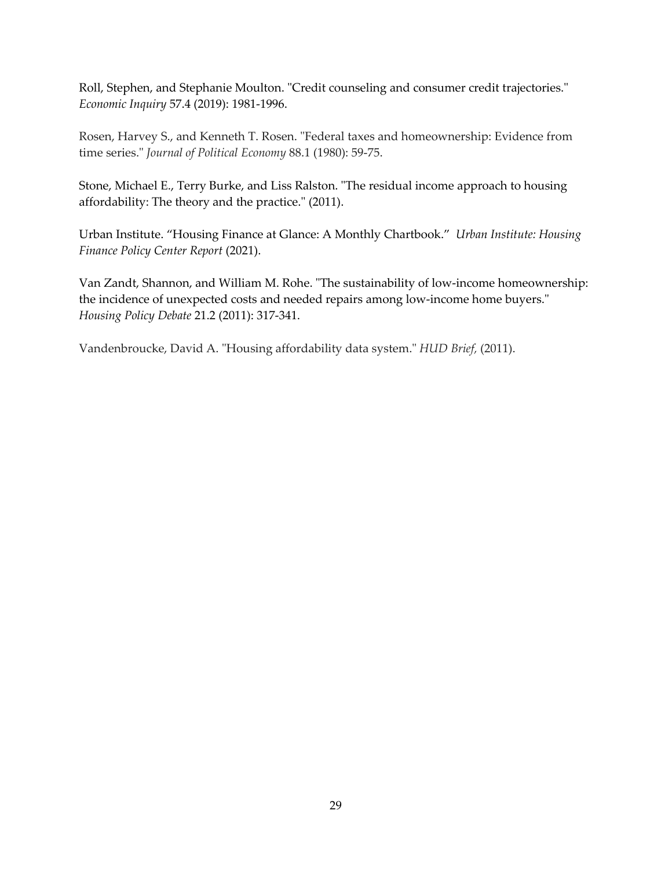Roll, Stephen, and Stephanie Moulton. "Credit counseling and consumer credit trajectories." *Economic Inquiry* 57.4 (2019): 1981-1996.

Rosen, Harvey S., and Kenneth T. Rosen. "Federal taxes and homeownership: Evidence from time series." *Journal of Political Economy* 88.1 (1980): 59-75.

Stone, Michael E., Terry Burke, and Liss Ralston. "The residual income approach to housing affordability: The theory and the practice." (2011).

Urban Institute. "Housing Finance at Glance: A Monthly Chartbook." *Urban Institute: Housing Finance Policy Center Report* (2021).

Van Zandt, Shannon, and William M. Rohe. "The sustainability of low-income homeownership: the incidence of unexpected costs and needed repairs among low-income home buyers." *Housing Policy Debate* 21.2 (2011): 317-341.

Vandenbroucke, David A. "Housing affordability data system." *HUD Brief,* (2011).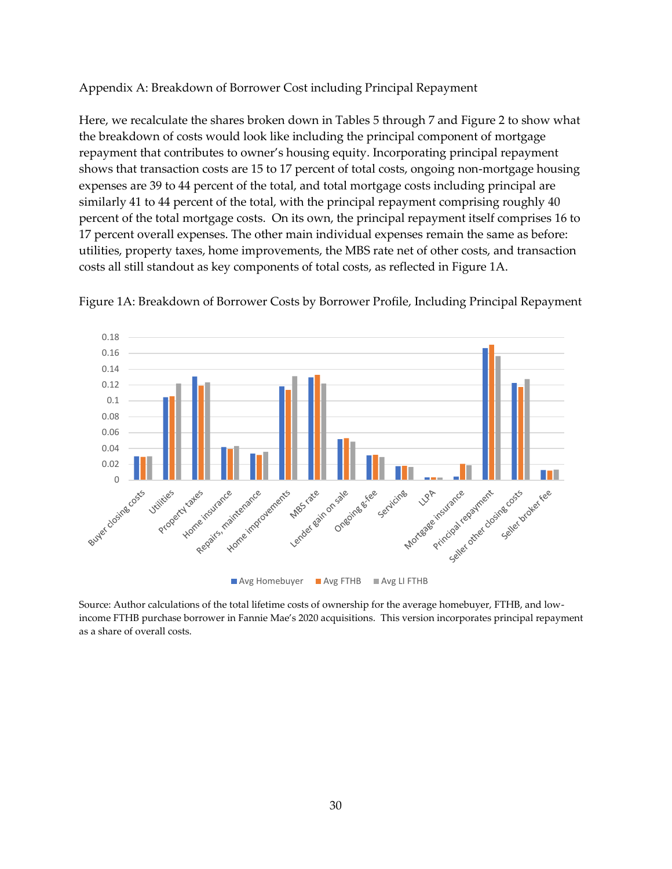Appendix A: Breakdown of Borrower Cost including Principal Repayment

Here, we recalculate the shares broken down in Tables 5 through 7 and Figure 2 to show what the breakdown of costs would look like including the principal component of mortgage repayment that contributes to owner's housing equity. Incorporating principal repayment shows that transaction costs are 15 to 17 percent of total costs, ongoing non-mortgage housing expenses are 39 to 44 percent of the total, and total mortgage costs including principal are similarly 41 to 44 percent of the total, with the principal repayment comprising roughly 40 percent of the total mortgage costs. On its own, the principal repayment itself comprises 16 to 17 percent overall expenses. The other main individual expenses remain the same as before: utilities, property taxes, home improvements, the MBS rate net of other costs, and transaction costs all still standout as key components of total costs, as reflected in Figure 1A.



Figure 1A: Breakdown of Borrower Costs by Borrower Profile, Including Principal Repayment

Source: Author calculations of the total lifetime costs of ownership for the average homebuyer, FTHB, and lowincome FTHB purchase borrower in Fannie Mae's 2020 acquisitions. This version incorporates principal repayment as a share of overall costs.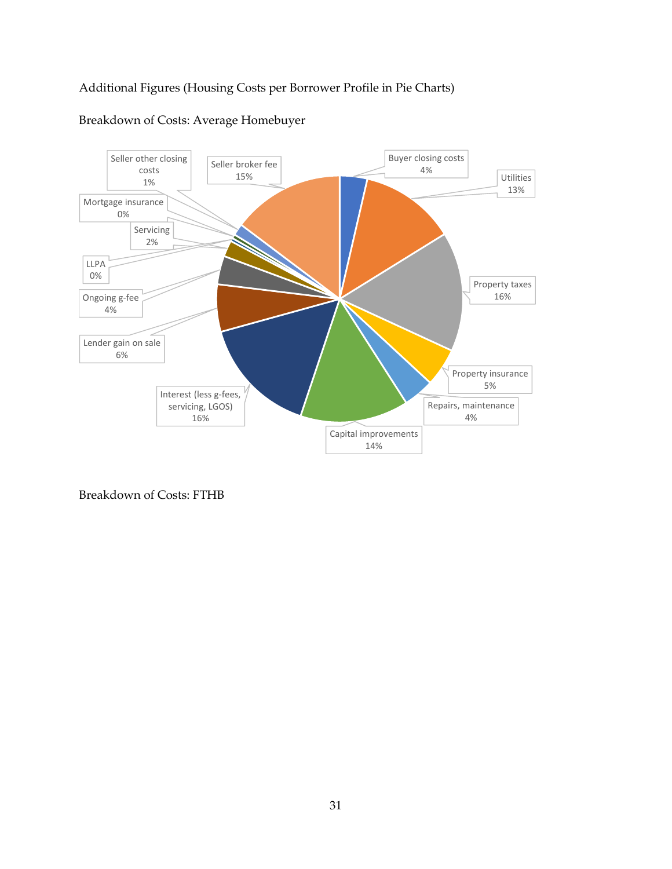# Additional Figures (Housing Costs per Borrower Profile in Pie Charts)



# Breakdown of Costs: Average Homebuyer

Breakdown of Costs: FTHB